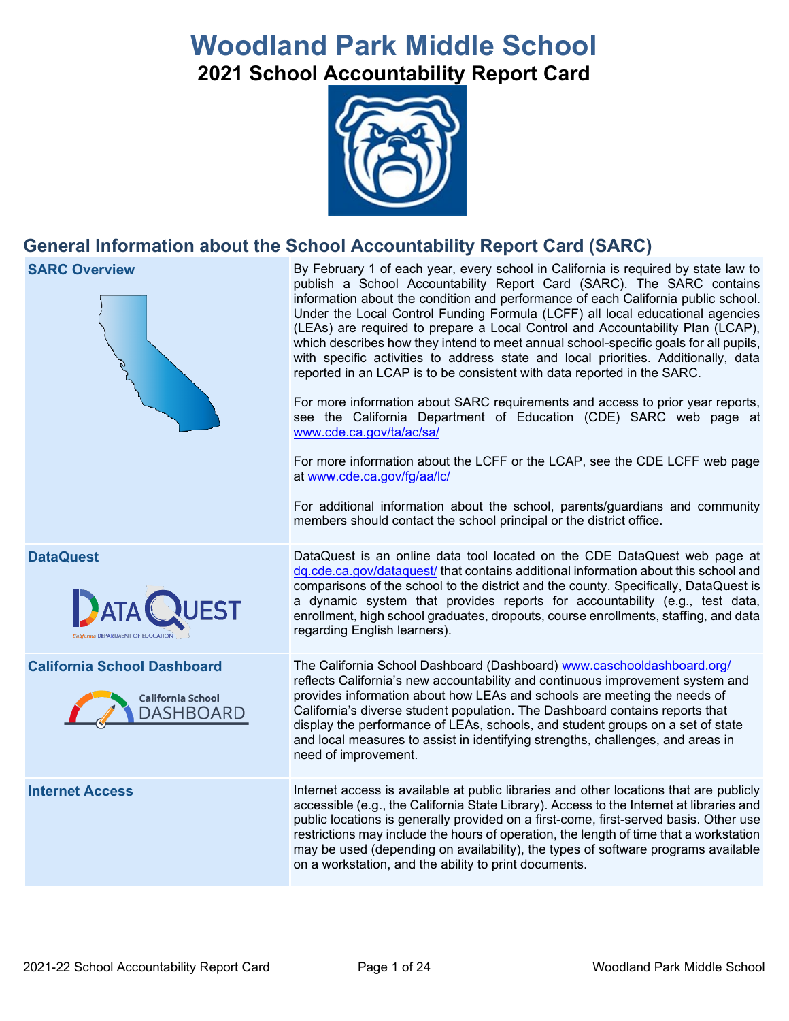# **Woodland Park Middle School 2021 School Accountability Report Card**



## **General Information about the School Accountability Report Card (SARC)**

#### **SARC Overview** By February 1 of each year, every school in California is required by state law to publish a School Accountability Report Card (SARC). The SARC contains information about the condition and performance of each California public school. Under the Local Control Funding Formula (LCFF) all local educational agencies (LEAs) are required to prepare a Local Control and Accountability Plan (LCAP), which describes how they intend to meet annual school-specific goals for all pupils, with specific activities to address state and local priorities. Additionally, data reported in an LCAP is to be consistent with data reported in the SARC. For more information about SARC requirements and access to prior year reports, see the California Department of Education (CDE) SARC web page at [www.cde.ca.gov/ta/ac/sa/](https://www.cde.ca.gov/ta/ac/sa/) For more information about the LCFF or the LCAP, see the CDE LCFF web page at [www.cde.ca.gov/fg/aa/lc/](https://www.cde.ca.gov/fg/aa/lc/) For additional information about the school, parents/guardians and community members should contact the school principal or the district office. **DataQuest** DataQuest is an online data tool located on the CDE DataQuest web page at [dq.cde.ca.gov/dataquest/](https://dq.cde.ca.gov/dataquest/) that contains additional information about this school and comparisons of the school to the district and the county. Specifically, DataQuest is a dynamic system that provides reports for accountability (e.g., test data, ATA ( enrollment, high school graduates, dropouts, course enrollments, staffing, and data regarding English learners). **California School Dashboard** The California School Dashboard (Dashboard) [www.caschooldashboard.org/](http://www.caschooldashboard.org/) reflects California's new accountability and continuous improvement system and provides information about how LEAs and schools are meeting the needs of **California School** California's diverse student population. The Dashboard contains reports that DASHBOARD display the performance of LEAs, schools, and student groups on a set of state and local measures to assist in identifying strengths, challenges, and areas in need of improvement. **Internet Access** Internet access is available at public libraries and other locations that are publicly accessible (e.g., the California State Library). Access to the Internet at libraries and public locations is generally provided on a first-come, first-served basis. Other use restrictions may include the hours of operation, the length of time that a workstation may be used (depending on availability), the types of software programs available on a workstation, and the ability to print documents.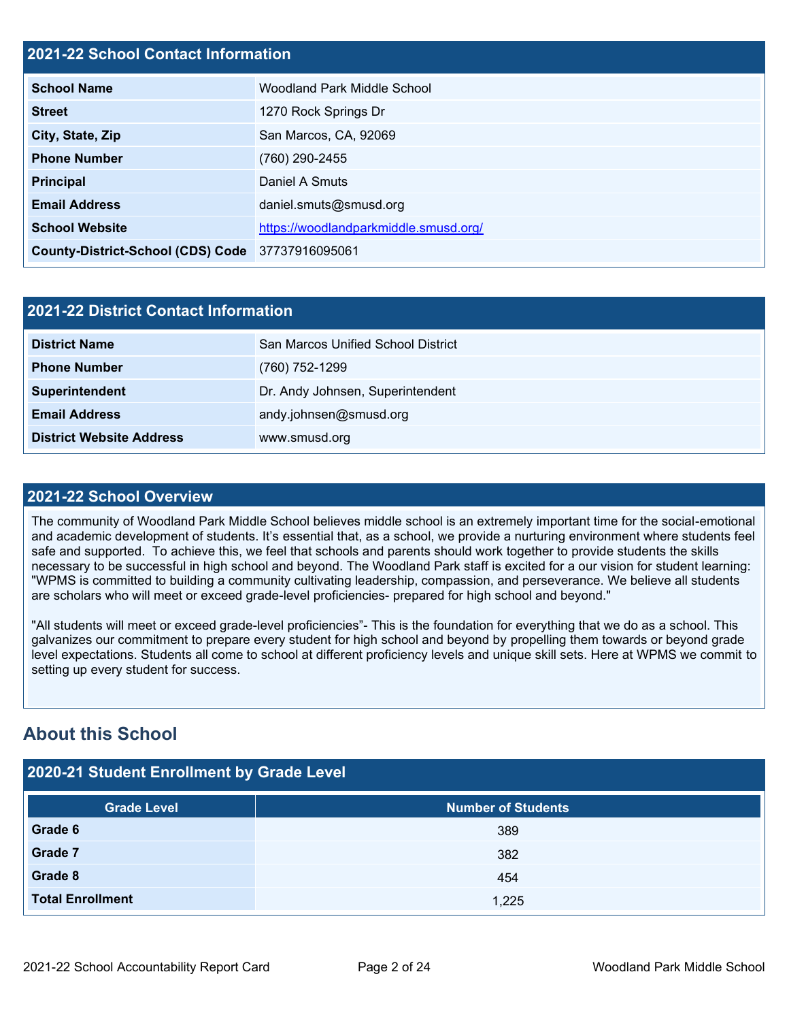## **2021-22 School Contact Information**

| <b>School Name</b>                               | Woodland Park Middle School           |
|--------------------------------------------------|---------------------------------------|
| <b>Street</b>                                    | 1270 Rock Springs Dr                  |
| City, State, Zip                                 | San Marcos, CA, 92069                 |
| <b>Phone Number</b>                              | (760) 290-2455                        |
| <b>Principal</b>                                 | Daniel A Smuts                        |
| <b>Email Address</b>                             | daniel.smuts@smusd.org                |
| <b>School Website</b>                            | https://woodlandparkmiddle.smusd.org/ |
| County-District-School (CDS) Code 37737916095061 |                                       |

| 2021-22 District Contact Information |                                    |  |  |
|--------------------------------------|------------------------------------|--|--|
| <b>District Name</b>                 | San Marcos Unified School District |  |  |
| <b>Phone Number</b>                  | (760) 752-1299                     |  |  |
| Superintendent                       | Dr. Andy Johnsen, Superintendent   |  |  |
| <b>Email Address</b>                 | andy.johnsen@smusd.org             |  |  |
| <b>District Website Address</b>      | www.smusd.org                      |  |  |

#### **2021-22 School Overview**

The community of Woodland Park Middle School believes middle school is an extremely important time for the social-emotional and academic development of students. It's essential that, as a school, we provide a nurturing environment where students feel safe and supported. To achieve this, we feel that schools and parents should work together to provide students the skills necessary to be successful in high school and beyond. The Woodland Park staff is excited for a our vision for student learning: "WPMS is committed to building a community cultivating leadership, compassion, and perseverance. We believe all students are scholars who will meet or exceed grade-level proficiencies- prepared for high school and beyond."

"All students will meet or exceed grade-level proficiencies"- This is the foundation for everything that we do as a school. This galvanizes our commitment to prepare every student for high school and beyond by propelling them towards or beyond grade level expectations. Students all come to school at different proficiency levels and unique skill sets. Here at WPMS we commit to setting up every student for success.

## **About this School**

| 2020-21 Student Enrollment by Grade Level |                           |  |  |  |
|-------------------------------------------|---------------------------|--|--|--|
| <b>Grade Level</b>                        | <b>Number of Students</b> |  |  |  |
| Grade 6                                   | 389                       |  |  |  |
| <b>Grade 7</b>                            | 382                       |  |  |  |
| Grade 8                                   | 454                       |  |  |  |
| <b>Total Enrollment</b>                   | 1,225                     |  |  |  |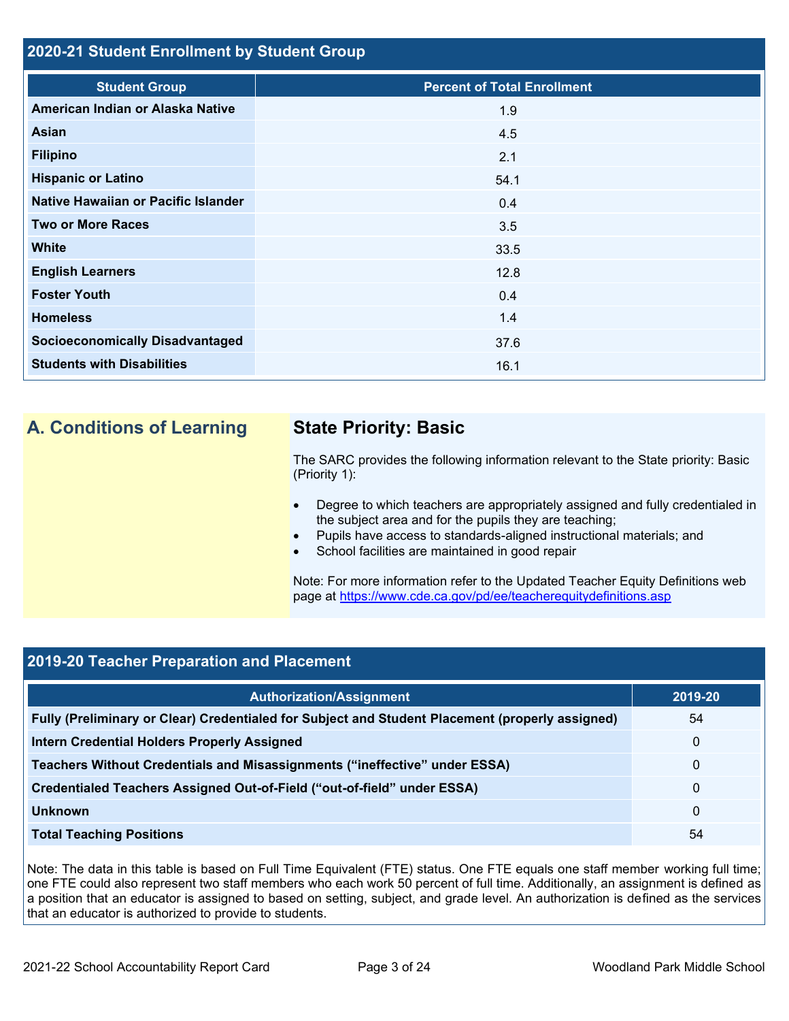## **2020-21 Student Enrollment by Student Group**

| <b>Student Group</b>                   | <b>Percent of Total Enrollment</b> |
|----------------------------------------|------------------------------------|
| American Indian or Alaska Native       | 1.9                                |
| <b>Asian</b>                           | 4.5                                |
| <b>Filipino</b>                        | 2.1                                |
| <b>Hispanic or Latino</b>              | 54.1                               |
| Native Hawaiian or Pacific Islander    | 0.4                                |
| <b>Two or More Races</b>               | 3.5                                |
| <b>White</b>                           | 33.5                               |
| <b>English Learners</b>                | 12.8                               |
| <b>Foster Youth</b>                    | 0.4                                |
| <b>Homeless</b>                        | 1.4                                |
| <b>Socioeconomically Disadvantaged</b> | 37.6                               |
| <b>Students with Disabilities</b>      | 16.1                               |

## **A. Conditions of Learning State Priority: Basic**

The SARC provides the following information relevant to the State priority: Basic (Priority 1):

- Degree to which teachers are appropriately assigned and fully credentialed in the subject area and for the pupils they are teaching;
- Pupils have access to standards-aligned instructional materials; and
- School facilities are maintained in good repair

Note: For more information refer to the Updated Teacher Equity Definitions web page at<https://www.cde.ca.gov/pd/ee/teacherequitydefinitions.asp>

## **2019-20 Teacher Preparation and Placement**

| <b>Authorization/Assignment</b>                                                                 | 2019-20     |
|-------------------------------------------------------------------------------------------------|-------------|
| Fully (Preliminary or Clear) Credentialed for Subject and Student Placement (properly assigned) | 54          |
| <b>Intern Credential Holders Properly Assigned</b>                                              | $\mathbf 0$ |
| Teachers Without Credentials and Misassignments ("ineffective" under ESSA)                      | 0           |
| Credentialed Teachers Assigned Out-of-Field ("out-of-field" under ESSA)                         | 0           |
| <b>Unknown</b>                                                                                  | 0           |
| <b>Total Teaching Positions</b>                                                                 | 54          |

Note: The data in this table is based on Full Time Equivalent (FTE) status. One FTE equals one staff member working full time; one FTE could also represent two staff members who each work 50 percent of full time. Additionally, an assignment is defined as a position that an educator is assigned to based on setting, subject, and grade level. An authorization is defined as the services that an educator is authorized to provide to students.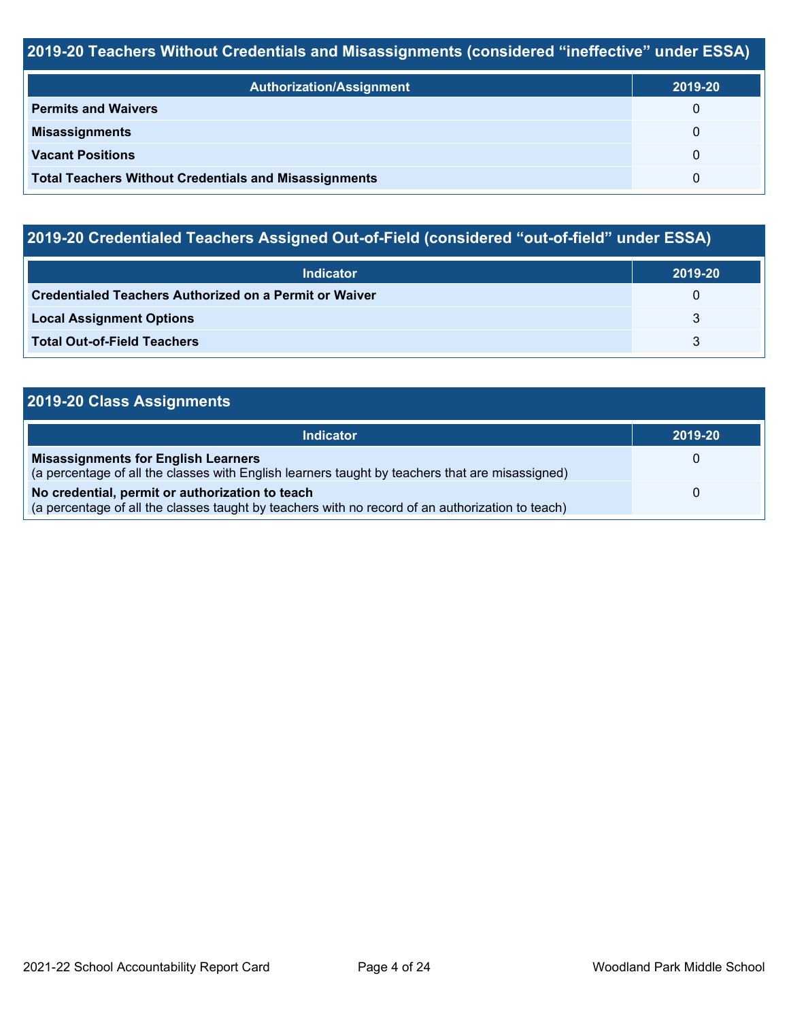## **2019-20 Teachers Without Credentials and Misassignments (considered "ineffective" under ESSA)**

| <b>Authorization/Assignment</b>                              | 2019-20      |
|--------------------------------------------------------------|--------------|
| <b>Permits and Waivers</b>                                   | $\Omega$     |
| <b>Misassignments</b>                                        | $\Omega$     |
| <b>Vacant Positions</b>                                      | $\Omega$     |
| <b>Total Teachers Without Credentials and Misassignments</b> | <sup>0</sup> |

# **2019-20 Credentialed Teachers Assigned Out-of-Field (considered "out-of-field" under ESSA)**

| <b>Indicator</b>                                       | 2019-20 |
|--------------------------------------------------------|---------|
| Credentialed Teachers Authorized on a Permit or Waiver | 0       |
| <b>Local Assignment Options</b>                        |         |
| <b>Total Out-of-Field Teachers</b>                     |         |

## **2019-20 Class Assignments**

| Indicator                                                                                                                                           | 2019-20 |
|-----------------------------------------------------------------------------------------------------------------------------------------------------|---------|
| <b>Misassignments for English Learners</b><br>(a percentage of all the classes with English learners taught by teachers that are misassigned)       | Ü       |
| No credential, permit or authorization to teach<br>(a percentage of all the classes taught by teachers with no record of an authorization to teach) | 0       |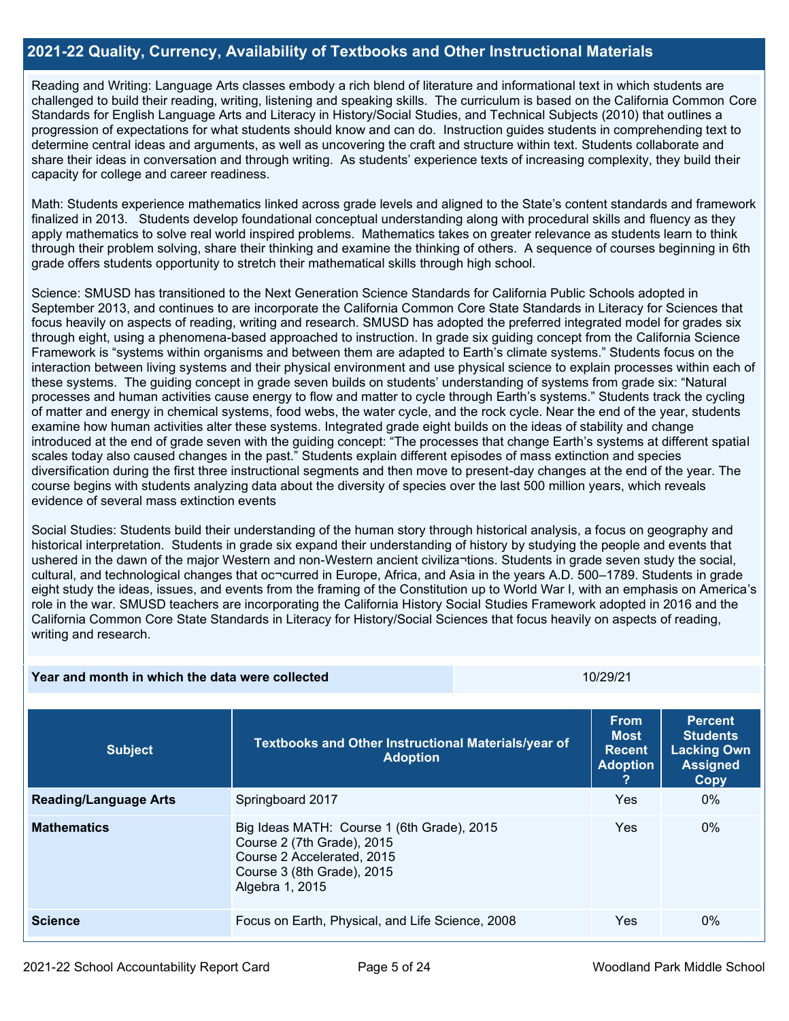## **2021-22 Quality, Currency, Availability of Textbooks and Other Instructional Materials**

Reading and Writing: Language Arts classes embody a rich blend of literature and informational text in which students are challenged to build their reading, writing, listening and speaking skills. The curriculum is based on the California Common Core Standards for English Language Arts and Literacy in History/Social Studies, and Technical Subjects (2010) that outlines a progression of expectations for what students should know and can do. Instruction guides students in comprehending text to determine central ideas and arguments, as well as uncovering the craft and structure within text. Students collaborate and share their ideas in conversation and through writing. As students' experience texts of increasing complexity, they build their capacity for college and career readiness.

Math: Students experience mathematics linked across grade levels and aligned to the State's content standards and framework finalized in 2013. Students develop foundational conceptual understanding along with procedural skills and fluency as they apply mathematics to solve real world inspired problems. Mathematics takes on greater relevance as students learn to think through their problem solving, share their thinking and examine the thinking of others. A sequence of courses beginning in 6th grade offers students opportunity to stretch their mathematical skills through high school.

Science: SMUSD has transitioned to the Next Generation Science Standards for California Public Schools adopted in September 2013, and continues to are incorporate the California Common Core State Standards in Literacy for Sciences that focus heavily on aspects of reading, writing and research. SMUSD has adopted the preferred integrated model for grades six through eight, using a phenomena-based approached to instruction. In grade six guiding concept from the California Science Framework is "systems within organisms and between them are adapted to Earth's climate systems." Students focus on the interaction between living systems and their physical environment and use physical science to explain processes within each of these systems. The guiding concept in grade seven builds on students' understanding of systems from grade six: "Natural processes and human activities cause energy to flow and matter to cycle through Earth's systems." Students track the cycling of matter and energy in chemical systems, food webs, the water cycle, and the rock cycle. Near the end of the year, students examine how human activities alter these systems. Integrated grade eight builds on the ideas of stability and change introduced at the end of grade seven with the guiding concept: "The processes that change Earth's systems at different spatial scales today also caused changes in the past." Students explain different episodes of mass extinction and species diversification during the first three instructional segments and then move to present-day changes at the end of the year. The course begins with students analyzing data about the diversity of species over the last 500 million years, which reveals evidence of several mass extinction events

Social Studies: Students build their understanding of the human story through historical analysis, a focus on geography and historical interpretation. Students in grade six expand their understanding of history by studying the people and events that ushered in the dawn of the major Western and non-Western ancient civiliza¬tions. Students in grade seven study the social, cultural, and technological changes that oc¬curred in Europe, Africa, and Asia in the years A.D. 500–1789. Students in grade eight study the ideas, issues, and events from the framing of the Constitution up to World War I, with an emphasis on America's role in the war. SMUSD teachers are incorporating the California History Social Studies Framework adopted in 2016 and the California Common Core State Standards in Literacy for History/Social Sciences that focus heavily on aspects of reading, writing and research.

| Year and month in which the data were collected |                                                                                                                                                         | 10/29/21 |                                                                |                                                                                    |
|-------------------------------------------------|---------------------------------------------------------------------------------------------------------------------------------------------------------|----------|----------------------------------------------------------------|------------------------------------------------------------------------------------|
| <b>Subject</b>                                  | Textbooks and Other Instructional Materials/year of<br><b>Adoption</b>                                                                                  |          | <b>From</b><br><b>Most</b><br><b>Recent</b><br><b>Adoption</b> | <b>Percent</b><br><b>Students</b><br><b>Lacking Own</b><br><b>Assigned</b><br>Copy |
| <b>Reading/Language Arts</b>                    | Springboard 2017                                                                                                                                        |          | Yes                                                            | $0\%$                                                                              |
| <b>Mathematics</b>                              | Big Ideas MATH: Course 1 (6th Grade), 2015<br>Course 2 (7th Grade), 2015<br>Course 2 Accelerated, 2015<br>Course 3 (8th Grade), 2015<br>Algebra 1, 2015 |          | Yes                                                            | $0\%$                                                                              |
| <b>Science</b>                                  | Focus on Earth, Physical, and Life Science, 2008                                                                                                        |          | Yes                                                            | $0\%$                                                                              |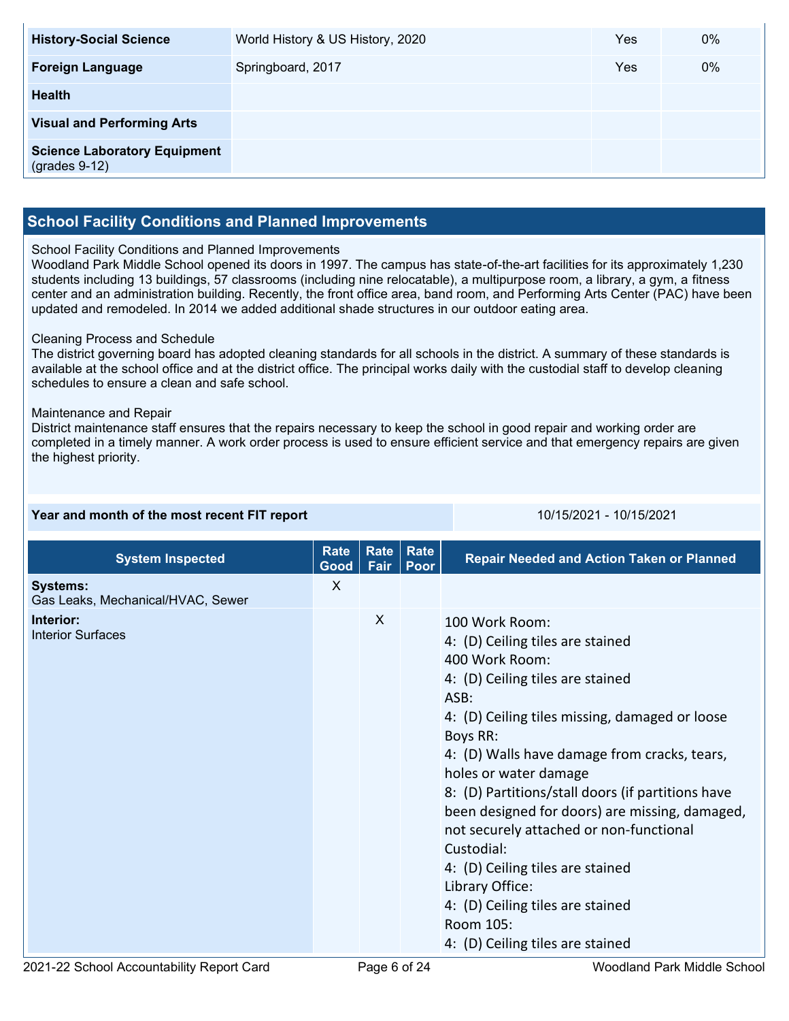| <b>History-Social Science</b>                          | World History & US History, 2020 | Yes | 0% |
|--------------------------------------------------------|----------------------------------|-----|----|
| <b>Foreign Language</b>                                | Springboard, 2017                | Yes | 0% |
| <b>Health</b>                                          |                                  |     |    |
| <b>Visual and Performing Arts</b>                      |                                  |     |    |
| <b>Science Laboratory Equipment</b><br>$(grades 9-12)$ |                                  |     |    |

## **School Facility Conditions and Planned Improvements**

#### School Facility Conditions and Planned Improvements

Woodland Park Middle School opened its doors in 1997. The campus has state-of-the-art facilities for its approximately 1,230 students including 13 buildings, 57 classrooms (including nine relocatable), a multipurpose room, a library, a gym, a fitness center and an administration building. Recently, the front office area, band room, and Performing Arts Center (PAC) have been updated and remodeled. In 2014 we added additional shade structures in our outdoor eating area.

#### Cleaning Process and Schedule

The district governing board has adopted cleaning standards for all schools in the district. A summary of these standards is available at the school office and at the district office. The principal works daily with the custodial staff to develop cleaning schedules to ensure a clean and safe school.

#### Maintenance and Repair

District maintenance staff ensures that the repairs necessary to keep the school in good repair and working order are completed in a timely manner. A work order process is used to ensure efficient service and that emergency repairs are given the highest priority.

| Year and month of the most recent FIT report |  |  |  |
|----------------------------------------------|--|--|--|
|                                              |  |  |  |

**Year and month of the most recent FIT report** 10/15/2021 - 10/15/2021

| <b>System Inspected</b>                              | Rate<br>Good | <b>Rate</b><br>Fair | Rate<br>Poor | <b>Repair Needed and Action Taken or Planned</b>                                                                                                                                                                                                                                                                                                                                                                                                                                                                                                                    |
|------------------------------------------------------|--------------|---------------------|--------------|---------------------------------------------------------------------------------------------------------------------------------------------------------------------------------------------------------------------------------------------------------------------------------------------------------------------------------------------------------------------------------------------------------------------------------------------------------------------------------------------------------------------------------------------------------------------|
| <b>Systems:</b><br>Gas Leaks, Mechanical/HVAC, Sewer | X            |                     |              |                                                                                                                                                                                                                                                                                                                                                                                                                                                                                                                                                                     |
| Interior:<br><b>Interior Surfaces</b>                |              | X                   |              | 100 Work Room:<br>4: (D) Ceiling tiles are stained<br>400 Work Room:<br>4: (D) Ceiling tiles are stained<br>ASB:<br>4: (D) Ceiling tiles missing, damaged or loose<br>Boys RR:<br>4: (D) Walls have damage from cracks, tears,<br>holes or water damage<br>8: (D) Partitions/stall doors (if partitions have<br>been designed for doors) are missing, damaged,<br>not securely attached or non-functional<br>Custodial:<br>4: (D) Ceiling tiles are stained<br>Library Office:<br>4: (D) Ceiling tiles are stained<br>Room 105:<br>4: (D) Ceiling tiles are stained |
|                                                      |              |                     |              |                                                                                                                                                                                                                                                                                                                                                                                                                                                                                                                                                                     |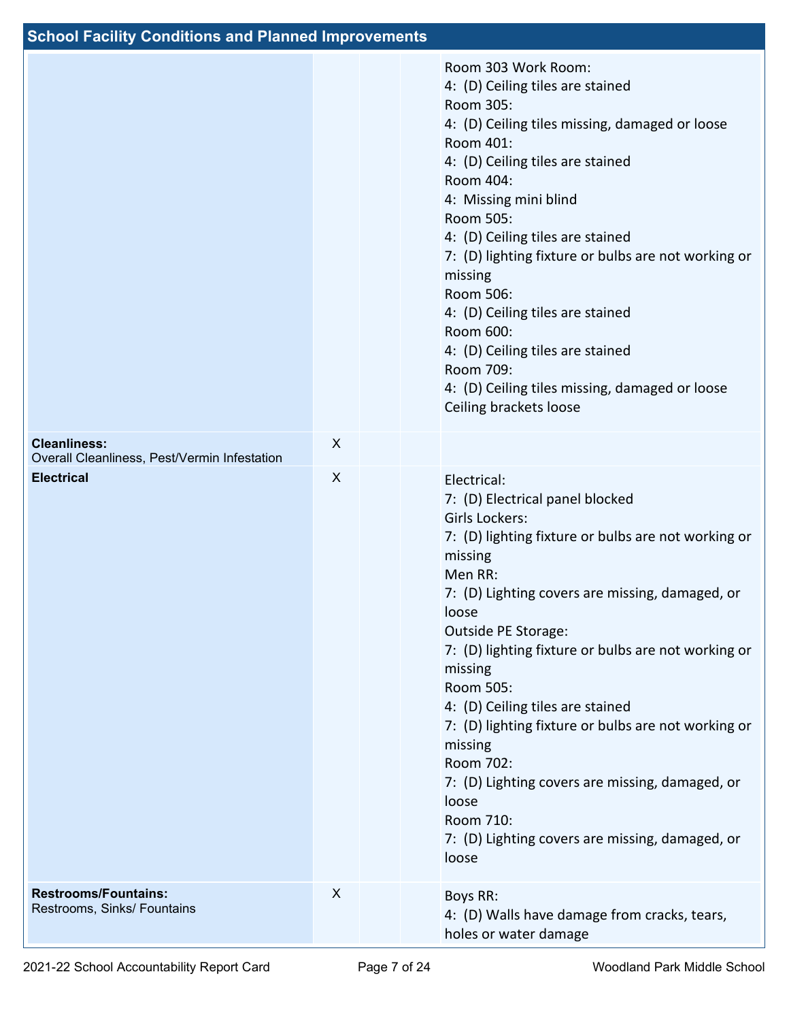| <b>School Facility Conditions and Planned Improvements</b>          |   |                                                                                                                                                                                                                                                                                                                                                                                                                                                                                                                                                                         |
|---------------------------------------------------------------------|---|-------------------------------------------------------------------------------------------------------------------------------------------------------------------------------------------------------------------------------------------------------------------------------------------------------------------------------------------------------------------------------------------------------------------------------------------------------------------------------------------------------------------------------------------------------------------------|
|                                                                     |   | Room 303 Work Room:<br>4: (D) Ceiling tiles are stained<br>Room 305:<br>4: (D) Ceiling tiles missing, damaged or loose<br>Room 401:<br>4: (D) Ceiling tiles are stained<br>Room 404:<br>4: Missing mini blind<br>Room 505:<br>4: (D) Ceiling tiles are stained<br>7: (D) lighting fixture or bulbs are not working or<br>missing<br>Room 506:<br>4: (D) Ceiling tiles are stained<br>Room 600:<br>4: (D) Ceiling tiles are stained<br>Room 709:<br>4: (D) Ceiling tiles missing, damaged or loose<br>Ceiling brackets loose                                             |
| <b>Cleanliness:</b><br>Overall Cleanliness, Pest/Vermin Infestation | X |                                                                                                                                                                                                                                                                                                                                                                                                                                                                                                                                                                         |
| <b>Electrical</b>                                                   | X | Electrical:<br>7: (D) Electrical panel blocked<br>Girls Lockers:<br>7: (D) lighting fixture or bulbs are not working or<br>missing<br>Men RR:<br>7: (D) Lighting covers are missing, damaged, or<br>loose<br>Outside PE Storage:<br>7: (D) lighting fixture or bulbs are not working or<br>missing<br>Room 505:<br>4: (D) Ceiling tiles are stained<br>7: (D) lighting fixture or bulbs are not working or<br>missing<br>Room 702:<br>7: (D) Lighting covers are missing, damaged, or<br>loose<br>Room 710:<br>7: (D) Lighting covers are missing, damaged, or<br>loose |
| <b>Restrooms/Fountains:</b><br>Restrooms, Sinks/ Fountains          | X | Boys RR:<br>4: (D) Walls have damage from cracks, tears,<br>holes or water damage                                                                                                                                                                                                                                                                                                                                                                                                                                                                                       |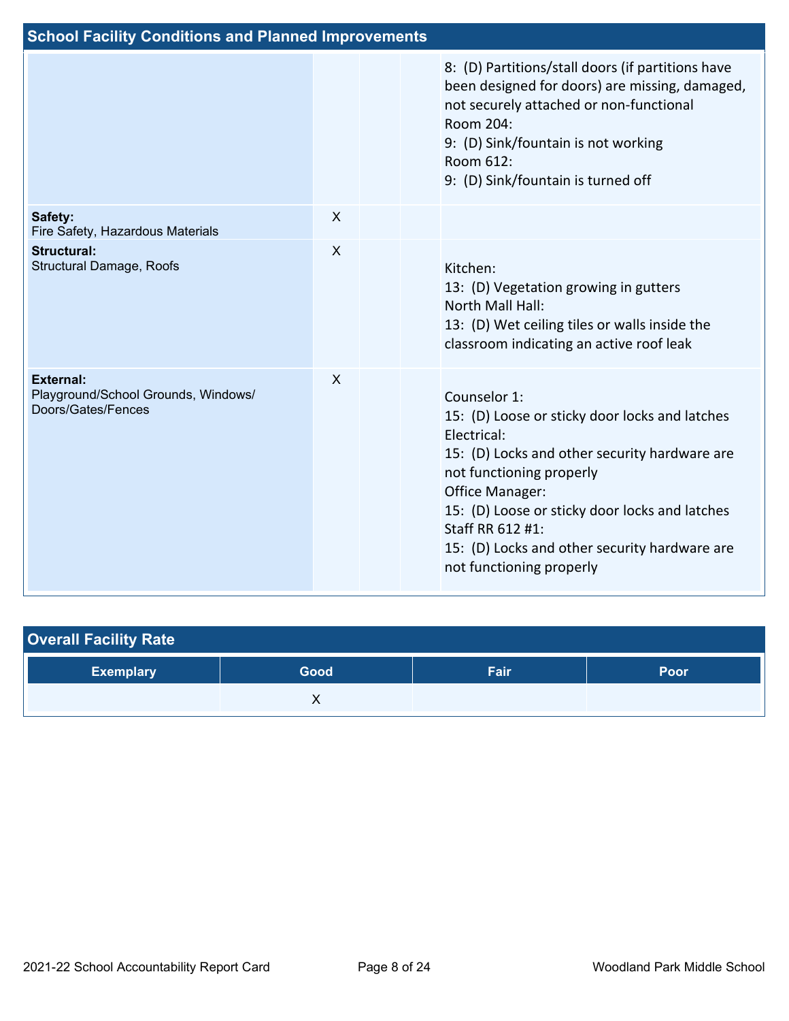| <b>School Facility Conditions and Planned Improvements</b>                    |                           |  |                                                                                                                                                                                                                                                                                                                                  |  |  |  |
|-------------------------------------------------------------------------------|---------------------------|--|----------------------------------------------------------------------------------------------------------------------------------------------------------------------------------------------------------------------------------------------------------------------------------------------------------------------------------|--|--|--|
|                                                                               |                           |  | 8: (D) Partitions/stall doors (if partitions have<br>been designed for doors) are missing, damaged,<br>not securely attached or non-functional<br>Room 204:<br>9: (D) Sink/fountain is not working<br>Room 612:<br>9: (D) Sink/fountain is turned off                                                                            |  |  |  |
| Safety:<br>Fire Safety, Hazardous Materials                                   | X                         |  |                                                                                                                                                                                                                                                                                                                                  |  |  |  |
| <b>Structural:</b><br>Structural Damage, Roofs                                | $\boldsymbol{\mathsf{X}}$ |  | Kitchen:<br>13: (D) Vegetation growing in gutters<br>North Mall Hall:<br>13: (D) Wet ceiling tiles or walls inside the<br>classroom indicating an active roof leak                                                                                                                                                               |  |  |  |
| <b>External:</b><br>Playground/School Grounds, Windows/<br>Doors/Gates/Fences | X                         |  | Counselor 1:<br>15: (D) Loose or sticky door locks and latches<br>Electrical:<br>15: (D) Locks and other security hardware are<br>not functioning properly<br>Office Manager:<br>15: (D) Loose or sticky door locks and latches<br>Staff RR 612 #1:<br>15: (D) Locks and other security hardware are<br>not functioning properly |  |  |  |

| <b>Overall Facility Rate</b> |      |      |      |  |  |  |  |
|------------------------------|------|------|------|--|--|--|--|
| <b>Exemplary</b>             | Good | Fair | Poor |  |  |  |  |
|                              |      |      |      |  |  |  |  |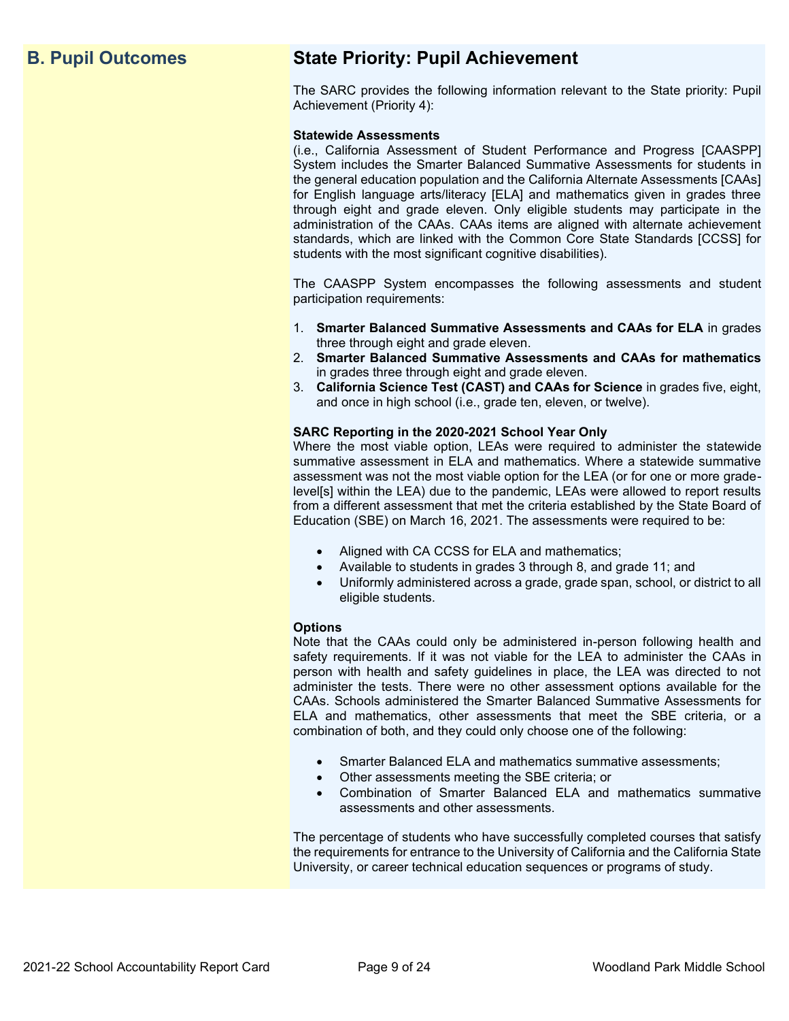## **B. Pupil Outcomes State Priority: Pupil Achievement**

The SARC provides the following information relevant to the State priority: Pupil Achievement (Priority 4):

#### **Statewide Assessments**

(i.e., California Assessment of Student Performance and Progress [CAASPP] System includes the Smarter Balanced Summative Assessments for students in the general education population and the California Alternate Assessments [CAAs] for English language arts/literacy [ELA] and mathematics given in grades three through eight and grade eleven. Only eligible students may participate in the administration of the CAAs. CAAs items are aligned with alternate achievement standards, which are linked with the Common Core State Standards [CCSS] for students with the most significant cognitive disabilities).

The CAASPP System encompasses the following assessments and student participation requirements:

- 1. **Smarter Balanced Summative Assessments and CAAs for ELA** in grades three through eight and grade eleven.
- 2. **Smarter Balanced Summative Assessments and CAAs for mathematics** in grades three through eight and grade eleven.
- 3. **California Science Test (CAST) and CAAs for Science** in grades five, eight, and once in high school (i.e., grade ten, eleven, or twelve).

#### **SARC Reporting in the 2020-2021 School Year Only**

Where the most viable option, LEAs were required to administer the statewide summative assessment in ELA and mathematics. Where a statewide summative assessment was not the most viable option for the LEA (or for one or more gradelevel[s] within the LEA) due to the pandemic, LEAs were allowed to report results from a different assessment that met the criteria established by the State Board of Education (SBE) on March 16, 2021. The assessments were required to be:

- Aligned with CA CCSS for ELA and mathematics;
- Available to students in grades 3 through 8, and grade 11; and
- Uniformly administered across a grade, grade span, school, or district to all eligible students.

#### **Options**

Note that the CAAs could only be administered in-person following health and safety requirements. If it was not viable for the LEA to administer the CAAs in person with health and safety guidelines in place, the LEA was directed to not administer the tests. There were no other assessment options available for the CAAs. Schools administered the Smarter Balanced Summative Assessments for ELA and mathematics, other assessments that meet the SBE criteria, or a combination of both, and they could only choose one of the following:

- Smarter Balanced ELA and mathematics summative assessments;
- Other assessments meeting the SBE criteria; or
- Combination of Smarter Balanced ELA and mathematics summative assessments and other assessments.

The percentage of students who have successfully completed courses that satisfy the requirements for entrance to the University of California and the California State University, or career technical education sequences or programs of study.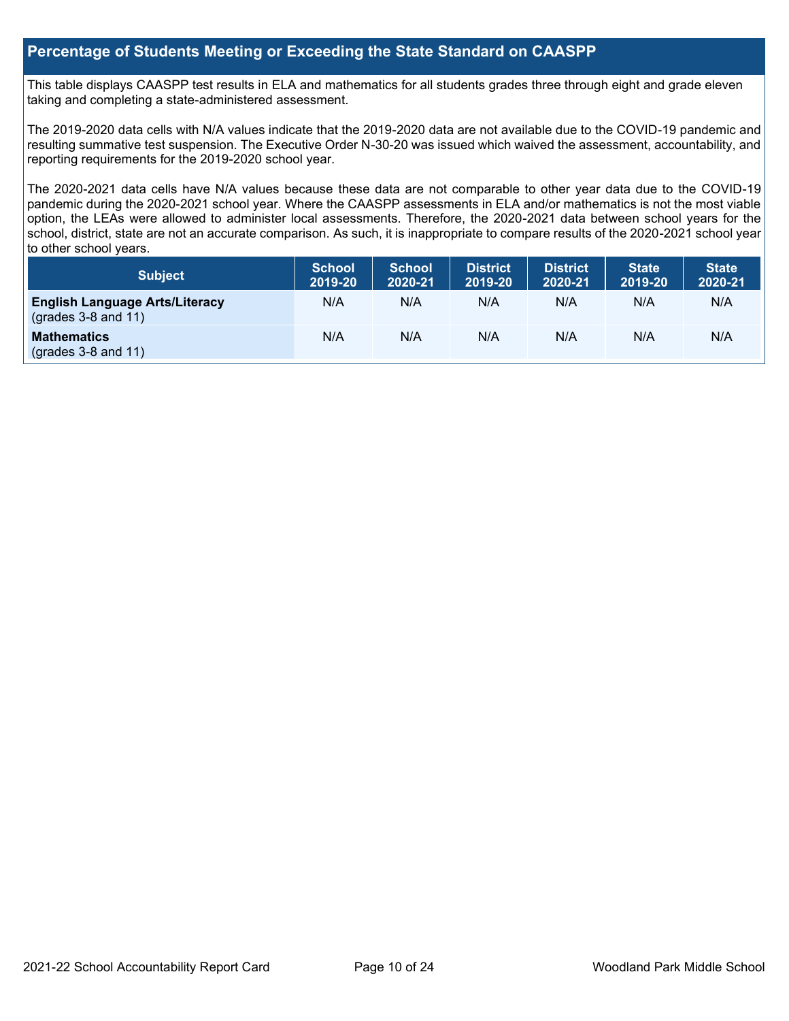## **Percentage of Students Meeting or Exceeding the State Standard on CAASPP**

This table displays CAASPP test results in ELA and mathematics for all students grades three through eight and grade eleven taking and completing a state-administered assessment.

The 2019-2020 data cells with N/A values indicate that the 2019-2020 data are not available due to the COVID-19 pandemic and resulting summative test suspension. The Executive Order N-30-20 was issued which waived the assessment, accountability, and reporting requirements for the 2019-2020 school year.

The 2020-2021 data cells have N/A values because these data are not comparable to other year data due to the COVID-19 pandemic during the 2020-2021 school year. Where the CAASPP assessments in ELA and/or mathematics is not the most viable option, the LEAs were allowed to administer local assessments. Therefore, the 2020-2021 data between school years for the school, district, state are not an accurate comparison. As such, it is inappropriate to compare results of the 2020-2021 school year to other school years.

| Subject                                                              | <b>School</b><br>2019-20 | <b>School</b><br>2020-21 | <b>District</b><br>2019-20 | <b>District</b><br>2020-21 | <b>State</b><br>2019-20 | <b>State</b><br>2020-21 |
|----------------------------------------------------------------------|--------------------------|--------------------------|----------------------------|----------------------------|-------------------------|-------------------------|
| <b>English Language Arts/Literacy</b><br>$\left($ grades 3-8 and 11) | N/A                      | N/A                      | N/A                        | N/A                        | N/A                     | N/A                     |
| <b>Mathematics</b><br>$(grades 3-8 and 11)$                          | N/A                      | N/A                      | N/A                        | N/A                        | N/A                     | N/A                     |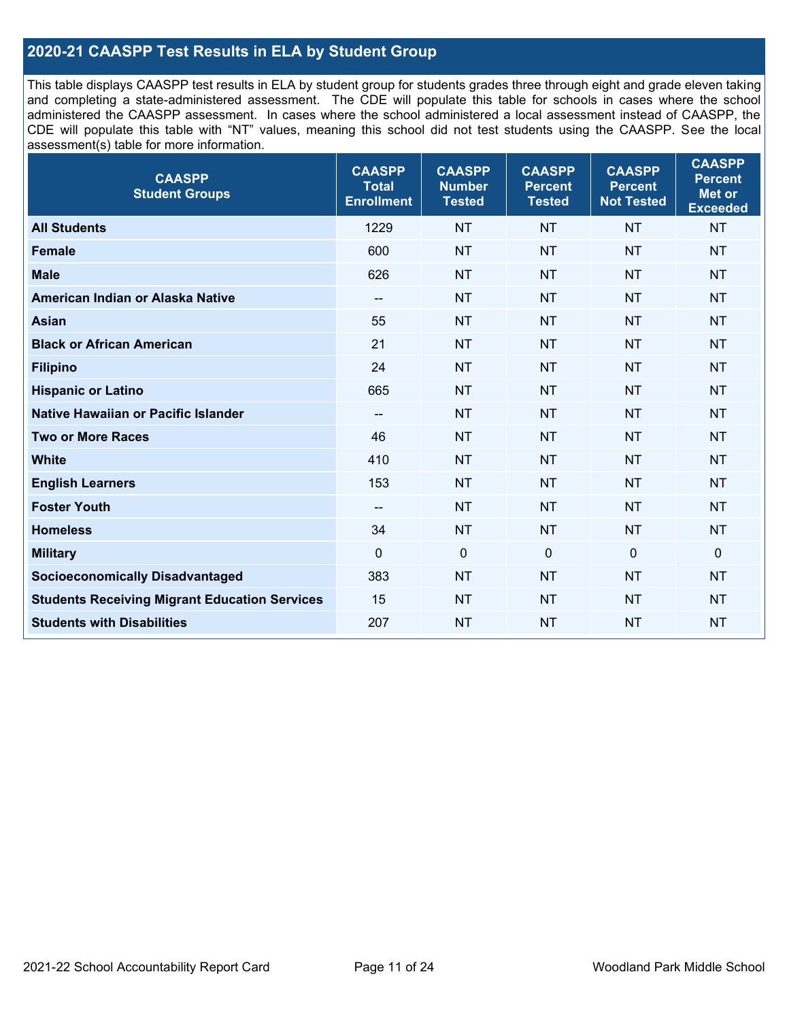## **2020-21 CAASPP Test Results in ELA by Student Group**

This table displays CAASPP test results in ELA by student group for students grades three through eight and grade eleven taking and completing a state-administered assessment. The CDE will populate this table for schools in cases where the school administered the CAASPP assessment. In cases where the school administered a local assessment instead of CAASPP, the CDE will populate this table with "NT" values, meaning this school did not test students using the CAASPP. See the local assessment(s) table for more information.

| <b>CAASPP</b><br><b>Student Groups</b>               | <b>CAASPP</b><br><b>Total</b><br><b>Enrollment</b> | <b>CAASPP</b><br><b>Number</b><br><b>Tested</b> | <b>CAASPP</b><br><b>Percent</b><br><b>Tested</b> | <b>CAASPP</b><br><b>Percent</b><br><b>Not Tested</b> | <b>CAASPP</b><br><b>Percent</b><br>Met or<br><b>Exceeded</b> |
|------------------------------------------------------|----------------------------------------------------|-------------------------------------------------|--------------------------------------------------|------------------------------------------------------|--------------------------------------------------------------|
| <b>All Students</b>                                  | 1229                                               | <b>NT</b>                                       | <b>NT</b>                                        | <b>NT</b>                                            | <b>NT</b>                                                    |
| <b>Female</b>                                        | 600                                                | <b>NT</b>                                       | <b>NT</b>                                        | <b>NT</b>                                            | <b>NT</b>                                                    |
| <b>Male</b>                                          | 626                                                | <b>NT</b>                                       | <b>NT</b>                                        | <b>NT</b>                                            | <b>NT</b>                                                    |
| American Indian or Alaska Native                     | $\overline{\phantom{a}}$                           | <b>NT</b>                                       | <b>NT</b>                                        | <b>NT</b>                                            | <b>NT</b>                                                    |
| <b>Asian</b>                                         | 55                                                 | <b>NT</b>                                       | <b>NT</b>                                        | <b>NT</b>                                            | <b>NT</b>                                                    |
| <b>Black or African American</b>                     | 21                                                 | <b>NT</b>                                       | <b>NT</b>                                        | <b>NT</b>                                            | <b>NT</b>                                                    |
| <b>Filipino</b>                                      | 24                                                 | <b>NT</b>                                       | <b>NT</b>                                        | <b>NT</b>                                            | <b>NT</b>                                                    |
| <b>Hispanic or Latino</b>                            | 665                                                | <b>NT</b>                                       | <b>NT</b>                                        | <b>NT</b>                                            | <b>NT</b>                                                    |
| <b>Native Hawaiian or Pacific Islander</b>           | $\qquad \qquad -$                                  | <b>NT</b>                                       | <b>NT</b>                                        | <b>NT</b>                                            | <b>NT</b>                                                    |
| <b>Two or More Races</b>                             | 46                                                 | <b>NT</b>                                       | <b>NT</b>                                        | <b>NT</b>                                            | <b>NT</b>                                                    |
| <b>White</b>                                         | 410                                                | <b>NT</b>                                       | <b>NT</b>                                        | <b>NT</b>                                            | <b>NT</b>                                                    |
| <b>English Learners</b>                              | 153                                                | <b>NT</b>                                       | <b>NT</b>                                        | <b>NT</b>                                            | <b>NT</b>                                                    |
| <b>Foster Youth</b>                                  | $\overline{\phantom{a}}$                           | <b>NT</b>                                       | <b>NT</b>                                        | <b>NT</b>                                            | <b>NT</b>                                                    |
| <b>Homeless</b>                                      | 34                                                 | <b>NT</b>                                       | <b>NT</b>                                        | <b>NT</b>                                            | <b>NT</b>                                                    |
| <b>Military</b>                                      | $\mathbf 0$                                        | $\mathbf 0$                                     | $\mathbf 0$                                      | $\mathbf 0$                                          | 0                                                            |
| <b>Socioeconomically Disadvantaged</b>               | 383                                                | <b>NT</b>                                       | <b>NT</b>                                        | <b>NT</b>                                            | <b>NT</b>                                                    |
| <b>Students Receiving Migrant Education Services</b> | 15                                                 | <b>NT</b>                                       | <b>NT</b>                                        | <b>NT</b>                                            | <b>NT</b>                                                    |
| <b>Students with Disabilities</b>                    | 207                                                | <b>NT</b>                                       | <b>NT</b>                                        | <b>NT</b>                                            | <b>NT</b>                                                    |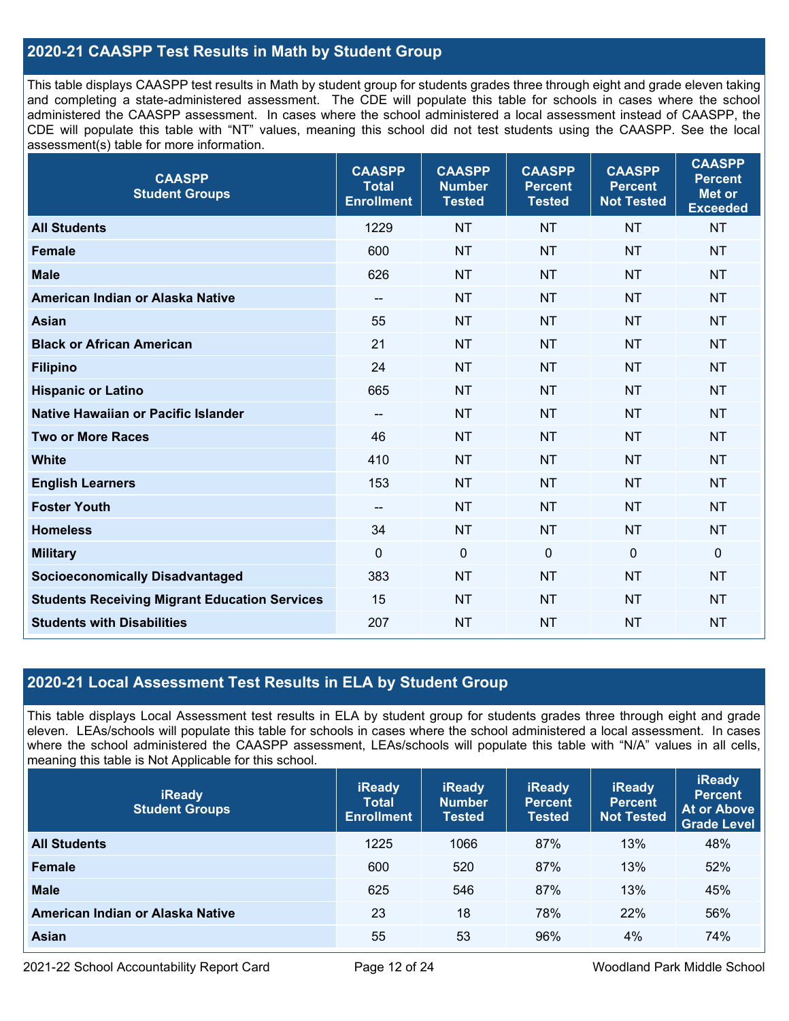## **2020-21 CAASPP Test Results in Math by Student Group**

This table displays CAASPP test results in Math by student group for students grades three through eight and grade eleven taking and completing a state-administered assessment. The CDE will populate this table for schools in cases where the school administered the CAASPP assessment. In cases where the school administered a local assessment instead of CAASPP, the CDE will populate this table with "NT" values, meaning this school did not test students using the CAASPP. See the local assessment(s) table for more information.

| <b>CAASPP</b><br><b>Student Groups</b>               | <b>CAASPP</b><br><b>Total</b><br><b>Enrollment</b> | <b>CAASPP</b><br><b>Number</b><br><b>Tested</b> | <b>CAASPP</b><br><b>Percent</b><br><b>Tested</b> | <b>CAASPP</b><br><b>Percent</b><br><b>Not Tested</b> | <b>CAASPP</b><br><b>Percent</b><br><b>Met or</b><br><b>Exceeded</b> |
|------------------------------------------------------|----------------------------------------------------|-------------------------------------------------|--------------------------------------------------|------------------------------------------------------|---------------------------------------------------------------------|
| <b>All Students</b>                                  | 1229                                               | <b>NT</b>                                       | <b>NT</b>                                        | <b>NT</b>                                            | <b>NT</b>                                                           |
| <b>Female</b>                                        | 600                                                | <b>NT</b>                                       | <b>NT</b>                                        | <b>NT</b>                                            | <b>NT</b>                                                           |
| <b>Male</b>                                          | 626                                                | <b>NT</b>                                       | <b>NT</b>                                        | <b>NT</b>                                            | <b>NT</b>                                                           |
| American Indian or Alaska Native                     | $\hspace{0.05cm}$ – $\hspace{0.05cm}$              | <b>NT</b>                                       | <b>NT</b>                                        | <b>NT</b>                                            | <b>NT</b>                                                           |
| <b>Asian</b>                                         | 55                                                 | <b>NT</b>                                       | <b>NT</b>                                        | <b>NT</b>                                            | <b>NT</b>                                                           |
| <b>Black or African American</b>                     | 21                                                 | <b>NT</b>                                       | <b>NT</b>                                        | <b>NT</b>                                            | <b>NT</b>                                                           |
| <b>Filipino</b>                                      | 24                                                 | <b>NT</b>                                       | <b>NT</b>                                        | <b>NT</b>                                            | <b>NT</b>                                                           |
| <b>Hispanic or Latino</b>                            | 665                                                | <b>NT</b>                                       | <b>NT</b>                                        | <b>NT</b>                                            | <b>NT</b>                                                           |
| Native Hawaiian or Pacific Islander                  | $\hspace{0.05cm}$ – $\hspace{0.05cm}$              | <b>NT</b>                                       | <b>NT</b>                                        | <b>NT</b>                                            | <b>NT</b>                                                           |
| <b>Two or More Races</b>                             | 46                                                 | <b>NT</b>                                       | <b>NT</b>                                        | <b>NT</b>                                            | <b>NT</b>                                                           |
| <b>White</b>                                         | 410                                                | <b>NT</b>                                       | <b>NT</b>                                        | <b>NT</b>                                            | <b>NT</b>                                                           |
| <b>English Learners</b>                              | 153                                                | <b>NT</b>                                       | <b>NT</b>                                        | <b>NT</b>                                            | <b>NT</b>                                                           |
| <b>Foster Youth</b>                                  | $\overline{\phantom{m}}$                           | <b>NT</b>                                       | <b>NT</b>                                        | <b>NT</b>                                            | <b>NT</b>                                                           |
| <b>Homeless</b>                                      | 34                                                 | <b>NT</b>                                       | <b>NT</b>                                        | <b>NT</b>                                            | <b>NT</b>                                                           |
| <b>Military</b>                                      | $\mathbf{0}$                                       | $\mathbf 0$                                     | $\mathbf 0$                                      | $\mathbf 0$                                          | $\mathbf 0$                                                         |
| <b>Socioeconomically Disadvantaged</b>               | 383                                                | <b>NT</b>                                       | <b>NT</b>                                        | <b>NT</b>                                            | <b>NT</b>                                                           |
| <b>Students Receiving Migrant Education Services</b> | 15                                                 | <b>NT</b>                                       | <b>NT</b>                                        | <b>NT</b>                                            | <b>NT</b>                                                           |
| <b>Students with Disabilities</b>                    | 207                                                | <b>NT</b>                                       | <b>NT</b>                                        | <b>NT</b>                                            | <b>NT</b>                                                           |

## **2020-21 Local Assessment Test Results in ELA by Student Group**

This table displays Local Assessment test results in ELA by student group for students grades three through eight and grade eleven. LEAs/schools will populate this table for schools in cases where the school administered a local assessment. In cases where the school administered the CAASPP assessment, LEAs/schools will populate this table with "N/A" values in all cells, meaning this table is Not Applicable for this school.

| <b>iReady</b><br><b>Student Groups</b> | <b>iReady</b><br><b>Total</b><br><b>Enrollment</b> | <b>iReady</b><br><b>Number</b><br><b>Tested</b> | <b>iReady</b><br><b>Percent</b><br><b>Tested</b> | <b>iReady</b><br><b>Percent</b><br><b>Not Tested</b> | <b>iReady</b><br><b>Percent</b><br>At or Above<br><b>Grade Level</b> |
|----------------------------------------|----------------------------------------------------|-------------------------------------------------|--------------------------------------------------|------------------------------------------------------|----------------------------------------------------------------------|
| <b>All Students</b>                    | 1225                                               | 1066                                            | 87%                                              | 13%                                                  | 48%                                                                  |
| <b>Female</b>                          | 600                                                | 520                                             | 87%                                              | 13%                                                  | 52%                                                                  |
| <b>Male</b>                            | 625                                                | 546                                             | 87%                                              | 13%                                                  | 45%                                                                  |
| American Indian or Alaska Native       | 23                                                 | 18                                              | 78%                                              | 22%                                                  | 56%                                                                  |
| Asian                                  | 55                                                 | 53                                              | 96%                                              | 4%                                                   | 74%                                                                  |

2021-22 School Accountability Report Card Page 12 of 24 Woodland Park Middle School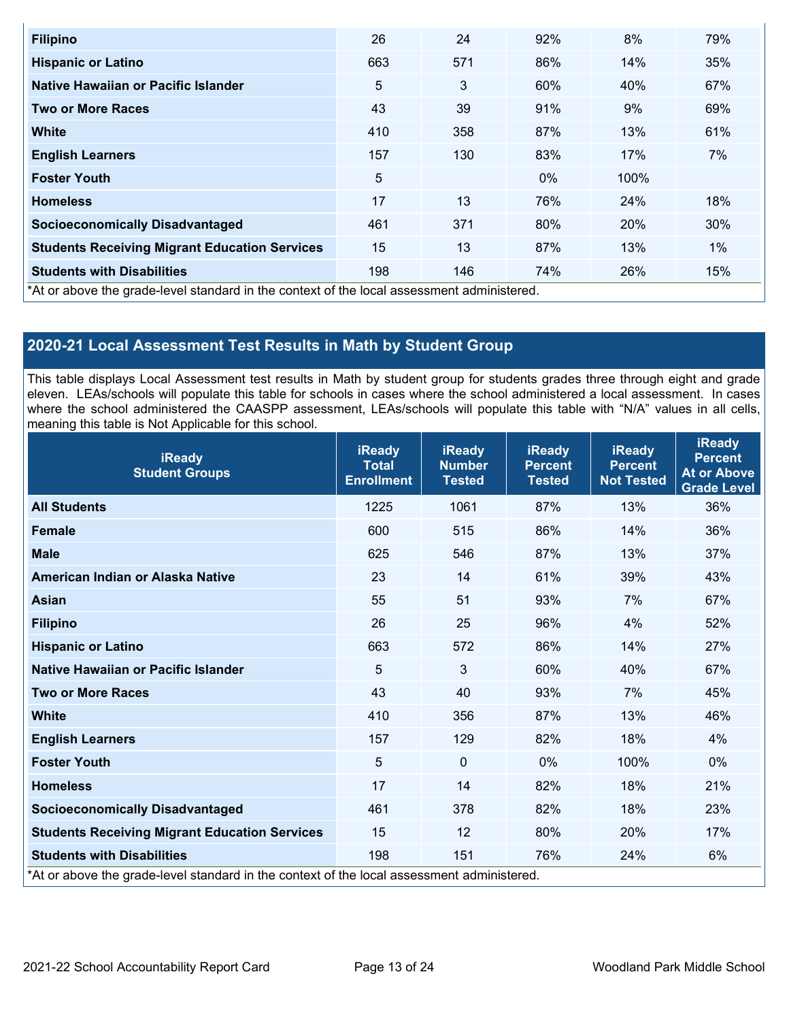| <b>Filipino</b>                                                                            | 26  | 24  | 92%   | 8%   | 79% |  |  |
|--------------------------------------------------------------------------------------------|-----|-----|-------|------|-----|--|--|
| <b>Hispanic or Latino</b>                                                                  | 663 | 571 | 86%   | 14%  | 35% |  |  |
| Native Hawaiian or Pacific Islander                                                        | 5   | 3   | 60%   | 40%  | 67% |  |  |
| <b>Two or More Races</b>                                                                   | 43  | 39  | 91%   | 9%   | 69% |  |  |
| <b>White</b>                                                                               | 410 | 358 | 87%   | 13%  | 61% |  |  |
| <b>English Learners</b>                                                                    | 157 | 130 | 83%   | 17%  | 7%  |  |  |
| <b>Foster Youth</b>                                                                        | 5   |     | $0\%$ | 100% |     |  |  |
| <b>Homeless</b>                                                                            | 17  | 13  | 76%   | 24%  | 18% |  |  |
| <b>Socioeconomically Disadvantaged</b>                                                     | 461 | 371 | 80%   | 20%  | 30% |  |  |
| <b>Students Receiving Migrant Education Services</b>                                       | 15  | 13  | 87%   | 13%  | 1%  |  |  |
| <b>Students with Disabilities</b>                                                          | 198 | 146 | 74%   | 26%  | 15% |  |  |
| *At or above the grade-level standard in the context of the local assessment administered. |     |     |       |      |     |  |  |

## **2020-21 Local Assessment Test Results in Math by Student Group**

This table displays Local Assessment test results in Math by student group for students grades three through eight and grade eleven. LEAs/schools will populate this table for schools in cases where the school administered a local assessment. In cases where the school administered the CAASPP assessment, LEAs/schools will populate this table with "N/A" values in all cells, meaning this table is Not Applicable for this school.

| <b>iReady</b><br><b>Student Groups</b>               | <b>iReady</b><br><b>Total</b><br><b>Enrollment</b> | <b>iReady</b><br><b>Number</b><br><b>Tested</b> | <b>iReady</b><br><b>Percent</b><br><b>Tested</b> | <b>iReady</b><br><b>Percent</b><br><b>Not Tested</b>                                       | <b>iReady</b><br><b>Percent</b><br><b>At or Above</b><br><b>Grade Level</b> |  |  |  |  |  |  |
|------------------------------------------------------|----------------------------------------------------|-------------------------------------------------|--------------------------------------------------|--------------------------------------------------------------------------------------------|-----------------------------------------------------------------------------|--|--|--|--|--|--|
| <b>All Students</b>                                  | 1225                                               | 1061                                            | 87%                                              | 13%                                                                                        | 36%                                                                         |  |  |  |  |  |  |
| <b>Female</b>                                        | 600                                                | 515                                             | 86%                                              | 14%                                                                                        | 36%                                                                         |  |  |  |  |  |  |
| <b>Male</b>                                          | 625                                                | 546                                             | 87%                                              | 13%                                                                                        | 37%                                                                         |  |  |  |  |  |  |
| American Indian or Alaska Native                     | 23                                                 | 14                                              | 61%                                              | 39%                                                                                        | 43%                                                                         |  |  |  |  |  |  |
| <b>Asian</b>                                         | 55                                                 | 51                                              | 93%                                              | 7%                                                                                         | 67%                                                                         |  |  |  |  |  |  |
| <b>Filipino</b>                                      | 26                                                 | 25                                              | 96%                                              | 4%                                                                                         | 52%                                                                         |  |  |  |  |  |  |
| <b>Hispanic or Latino</b>                            | 663                                                | 572                                             | 86%                                              | 14%                                                                                        | 27%                                                                         |  |  |  |  |  |  |
| Native Hawaiian or Pacific Islander                  | 5                                                  | $\mathfrak{S}$                                  | 60%                                              | 40%                                                                                        | 67%                                                                         |  |  |  |  |  |  |
| <b>Two or More Races</b>                             | 43                                                 | 40                                              | 93%                                              | 7%                                                                                         | 45%                                                                         |  |  |  |  |  |  |
| <b>White</b>                                         | 410                                                | 356                                             | 87%                                              | 13%                                                                                        | 46%                                                                         |  |  |  |  |  |  |
| <b>English Learners</b>                              | 157                                                | 129                                             | 82%                                              | 18%                                                                                        | 4%                                                                          |  |  |  |  |  |  |
| <b>Foster Youth</b>                                  | 5                                                  | $\mathbf 0$                                     | $0\%$                                            | 100%                                                                                       | $0\%$                                                                       |  |  |  |  |  |  |
| <b>Homeless</b>                                      | 17                                                 | 14                                              | 82%                                              | 18%                                                                                        | 21%                                                                         |  |  |  |  |  |  |
| <b>Socioeconomically Disadvantaged</b>               | 461                                                | 378                                             | 82%                                              | 18%                                                                                        | 23%                                                                         |  |  |  |  |  |  |
| <b>Students Receiving Migrant Education Services</b> | 15                                                 | 12                                              | 80%                                              | 20%                                                                                        | 17%                                                                         |  |  |  |  |  |  |
| <b>Students with Disabilities</b>                    | 198                                                | 151                                             | 76%                                              | 24%                                                                                        | 6%                                                                          |  |  |  |  |  |  |
|                                                      |                                                    |                                                 |                                                  | *At or above the grade-level standard in the context of the local assessment administered. |                                                                             |  |  |  |  |  |  |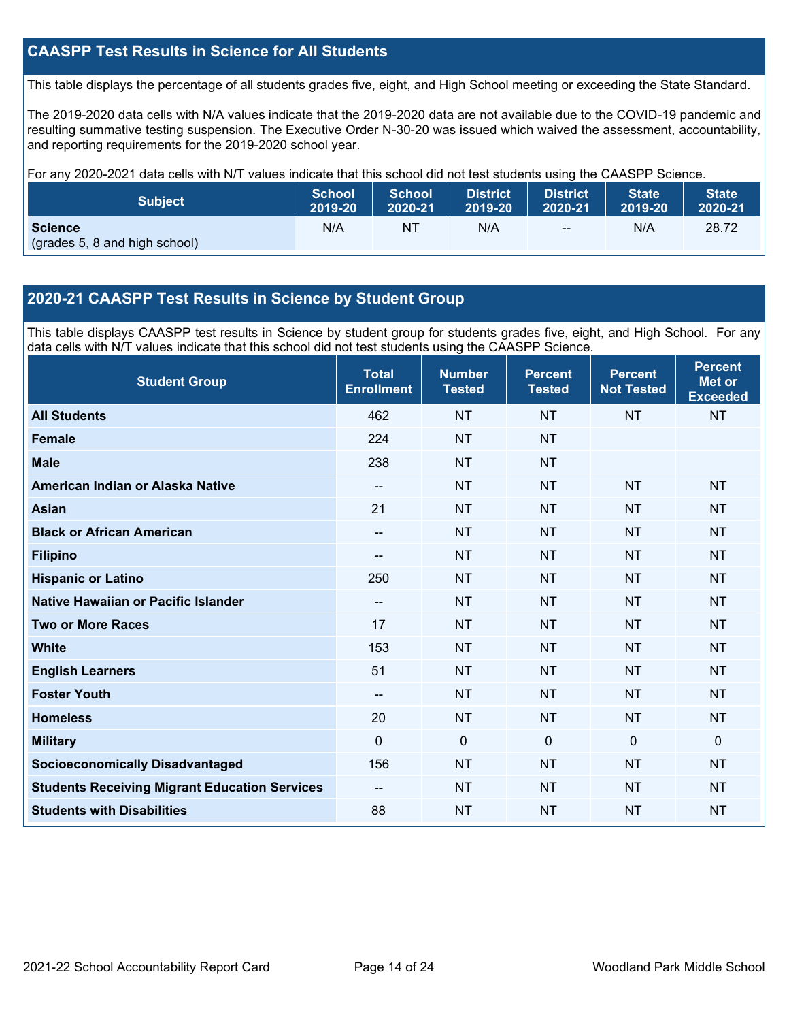## **CAASPP Test Results in Science for All Students**

This table displays the percentage of all students grades five, eight, and High School meeting or exceeding the State Standard.

The 2019-2020 data cells with N/A values indicate that the 2019-2020 data are not available due to the COVID-19 pandemic and resulting summative testing suspension. The Executive Order N-30-20 was issued which waived the assessment, accountability, and reporting requirements for the 2019-2020 school year.

For any 2020-2021 data cells with N/T values indicate that this school did not test students using the CAASPP Science.

| <b>Subject</b>                                  | <b>School</b> | <b>School</b> | <b>District</b> | District      | State   | <b>State</b> |
|-------------------------------------------------|---------------|---------------|-----------------|---------------|---------|--------------|
|                                                 | 2019-20       | 2020-21       | 2019-20         | 2020-21       | 2019-20 | 2020-21      |
| <b>Science</b><br>(grades 5, 8 and high school) | N/A           | ΝI            | N/A             | $\sim$ $\sim$ | N/A     | 28.72        |

## **2020-21 CAASPP Test Results in Science by Student Group**

This table displays CAASPP test results in Science by student group for students grades five, eight, and High School. For any data cells with N/T values indicate that this school did not test students using the CAASPP Science.

| <b>Student Group</b>                                 | <b>Total</b><br><b>Enrollment</b> | <b>Number</b><br><b>Tested</b> | <b>Percent</b><br><b>Tested</b> | <b>Percent</b><br><b>Not Tested</b> | <b>Percent</b><br><b>Met or</b><br><b>Exceeded</b> |
|------------------------------------------------------|-----------------------------------|--------------------------------|---------------------------------|-------------------------------------|----------------------------------------------------|
| <b>All Students</b>                                  | 462                               | <b>NT</b>                      | <b>NT</b>                       | <b>NT</b>                           | <b>NT</b>                                          |
| <b>Female</b>                                        | 224                               | <b>NT</b>                      | <b>NT</b>                       |                                     |                                                    |
| <b>Male</b>                                          | 238                               | <b>NT</b>                      | <b>NT</b>                       |                                     |                                                    |
| American Indian or Alaska Native                     | $\overline{\phantom{a}}$          | <b>NT</b>                      | <b>NT</b>                       | <b>NT</b>                           | <b>NT</b>                                          |
| <b>Asian</b>                                         | 21                                | <b>NT</b>                      | <b>NT</b>                       | <b>NT</b>                           | <b>NT</b>                                          |
| <b>Black or African American</b>                     | --                                | <b>NT</b>                      | <b>NT</b>                       | <b>NT</b>                           | <b>NT</b>                                          |
| <b>Filipino</b>                                      | --                                | <b>NT</b>                      | <b>NT</b>                       | <b>NT</b>                           | <b>NT</b>                                          |
| <b>Hispanic or Latino</b>                            | 250                               | <b>NT</b>                      | <b>NT</b>                       | <b>NT</b>                           | <b>NT</b>                                          |
| Native Hawaiian or Pacific Islander                  | --                                | <b>NT</b>                      | <b>NT</b>                       | <b>NT</b>                           | <b>NT</b>                                          |
| <b>Two or More Races</b>                             | 17                                | <b>NT</b>                      | <b>NT</b>                       | <b>NT</b>                           | <b>NT</b>                                          |
| <b>White</b>                                         | 153                               | <b>NT</b>                      | <b>NT</b>                       | <b>NT</b>                           | <b>NT</b>                                          |
| <b>English Learners</b>                              | 51                                | <b>NT</b>                      | <b>NT</b>                       | <b>NT</b>                           | <b>NT</b>                                          |
| <b>Foster Youth</b>                                  | --                                | <b>NT</b>                      | <b>NT</b>                       | <b>NT</b>                           | <b>NT</b>                                          |
| <b>Homeless</b>                                      | 20                                | <b>NT</b>                      | <b>NT</b>                       | <b>NT</b>                           | <b>NT</b>                                          |
| <b>Military</b>                                      | $\Omega$                          | 0                              | $\mathbf{0}$                    | $\mathbf 0$                         | $\mathbf{0}$                                       |
| <b>Socioeconomically Disadvantaged</b>               | 156                               | <b>NT</b>                      | <b>NT</b>                       | <b>NT</b>                           | <b>NT</b>                                          |
| <b>Students Receiving Migrant Education Services</b> | --                                | <b>NT</b>                      | <b>NT</b>                       | <b>NT</b>                           | <b>NT</b>                                          |
| <b>Students with Disabilities</b>                    | 88                                | <b>NT</b>                      | <b>NT</b>                       | <b>NT</b>                           | <b>NT</b>                                          |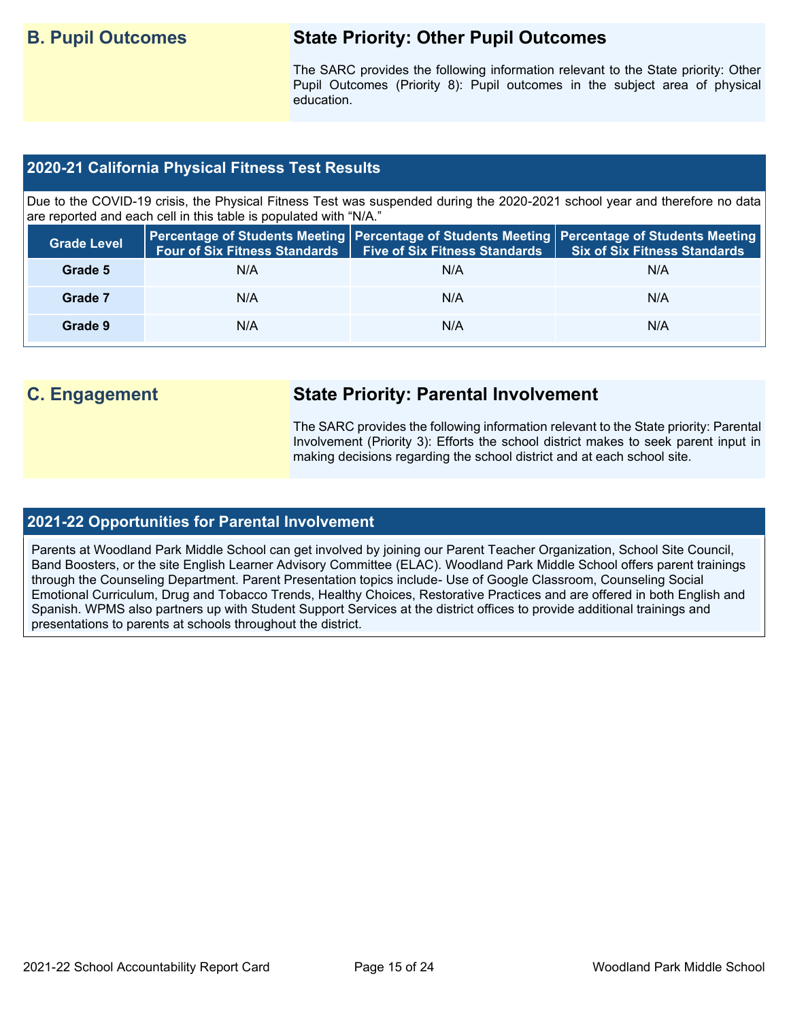## **B. Pupil Outcomes State Priority: Other Pupil Outcomes**

The SARC provides the following information relevant to the State priority: Other Pupil Outcomes (Priority 8): Pupil outcomes in the subject area of physical education.

## **2020-21 California Physical Fitness Test Results**

Due to the COVID-19 crisis, the Physical Fitness Test was suspended during the 2020-2021 school year and therefore no data are reported and each cell in this table is populated with "N/A."

| <b>Grade Level</b> | <b>Four of Six Fitness Standards</b> | <b>Five of Six Fitness Standards</b> | Percentage of Students Meeting   Percentage of Students Meeting   Percentage of Students Meeting<br><b>Six of Six Fitness Standards</b> |
|--------------------|--------------------------------------|--------------------------------------|-----------------------------------------------------------------------------------------------------------------------------------------|
| Grade 5            | N/A                                  | N/A                                  | N/A                                                                                                                                     |
| Grade 7            | N/A                                  | N/A                                  | N/A                                                                                                                                     |
| Grade 9            | N/A                                  | N/A                                  | N/A                                                                                                                                     |

## **C. Engagement State Priority: Parental Involvement**

The SARC provides the following information relevant to the State priority: Parental Involvement (Priority 3): Efforts the school district makes to seek parent input in making decisions regarding the school district and at each school site.

### **2021-22 Opportunities for Parental Involvement**

Parents at Woodland Park Middle School can get involved by joining our Parent Teacher Organization, School Site Council, Band Boosters, or the site English Learner Advisory Committee (ELAC). Woodland Park Middle School offers parent trainings through the Counseling Department. Parent Presentation topics include- Use of Google Classroom, Counseling Social Emotional Curriculum, Drug and Tobacco Trends, Healthy Choices, Restorative Practices and are offered in both English and Spanish. WPMS also partners up with Student Support Services at the district offices to provide additional trainings and presentations to parents at schools throughout the district.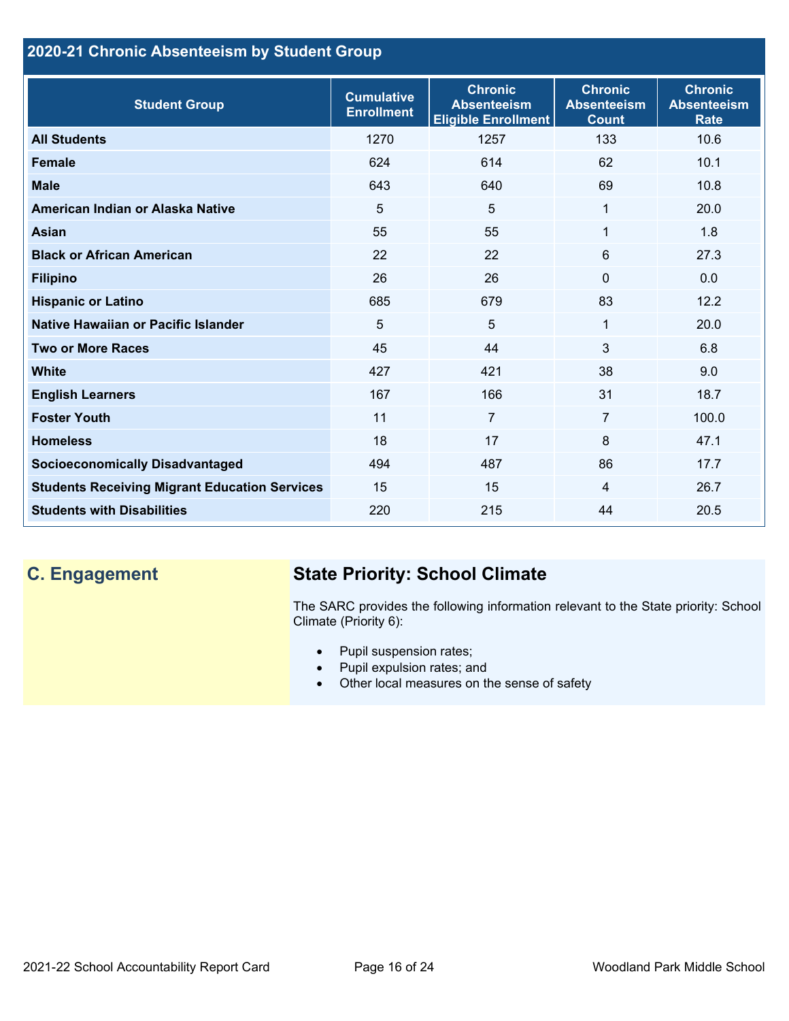## **2020-21 Chronic Absenteeism by Student Group**

| <b>Student Group</b>                                 | <b>Cumulative</b><br><b>Enrollment</b> | <b>Chronic</b><br><b>Absenteeism</b><br><b>Eligible Enrollment</b> | <b>Chronic</b><br><b>Absenteeism</b><br><b>Count</b> | <b>Chronic</b><br><b>Absenteeism</b><br><b>Rate</b> |
|------------------------------------------------------|----------------------------------------|--------------------------------------------------------------------|------------------------------------------------------|-----------------------------------------------------|
| <b>All Students</b>                                  | 1270                                   | 1257                                                               | 133                                                  | 10.6                                                |
| <b>Female</b>                                        | 624                                    | 614                                                                | 62                                                   | 10.1                                                |
| <b>Male</b>                                          | 643                                    | 640                                                                | 69                                                   | 10.8                                                |
| American Indian or Alaska Native                     | 5                                      | 5                                                                  | 1                                                    | 20.0                                                |
| <b>Asian</b>                                         | 55                                     | 55                                                                 | 1                                                    | 1.8                                                 |
| <b>Black or African American</b>                     | 22                                     | 22                                                                 | 6                                                    | 27.3                                                |
| <b>Filipino</b>                                      | 26                                     | 26                                                                 | $\mathbf{0}$                                         | 0.0                                                 |
| <b>Hispanic or Latino</b>                            | 685                                    | 679                                                                | 83                                                   | 12.2                                                |
| Native Hawaiian or Pacific Islander                  | 5                                      | 5                                                                  | 1                                                    | 20.0                                                |
| <b>Two or More Races</b>                             | 45                                     | 44                                                                 | 3                                                    | 6.8                                                 |
| <b>White</b>                                         | 427                                    | 421                                                                | 38                                                   | 9.0                                                 |
| <b>English Learners</b>                              | 167                                    | 166                                                                | 31                                                   | 18.7                                                |
| <b>Foster Youth</b>                                  | 11                                     | $\overline{7}$                                                     | $\overline{7}$                                       | 100.0                                               |
| <b>Homeless</b>                                      | 18                                     | 17                                                                 | 8                                                    | 47.1                                                |
| <b>Socioeconomically Disadvantaged</b>               | 494                                    | 487                                                                | 86                                                   | 17.7                                                |
| <b>Students Receiving Migrant Education Services</b> | 15                                     | 15                                                                 | 4                                                    | 26.7                                                |
| <b>Students with Disabilities</b>                    | 220                                    | 215                                                                | 44                                                   | 20.5                                                |

# **C. Engagement State Priority: School Climate**

The SARC provides the following information relevant to the State priority: School Climate (Priority 6):

- Pupil suspension rates;
- Pupil expulsion rates; and
- Other local measures on the sense of safety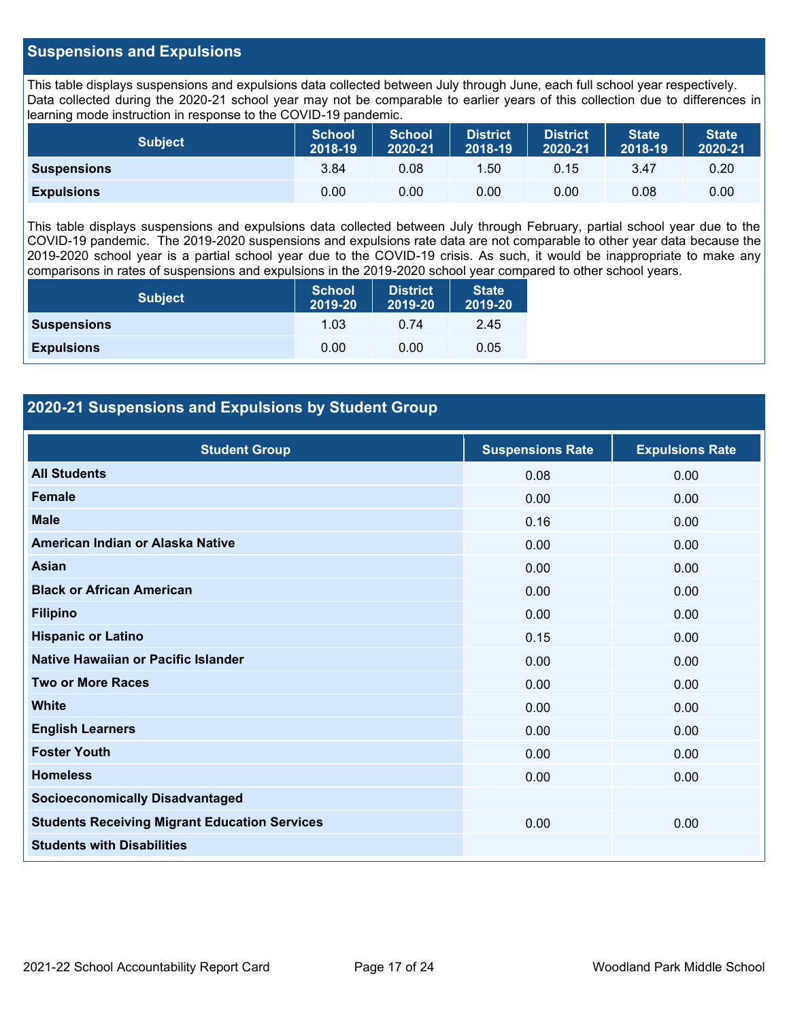## **Suspensions and Expulsions**

This table displays suspensions and expulsions data collected between July through June, each full school year respectively. Data collected during the 2020-21 school year may not be comparable to earlier years of this collection due to differences in learning mode instruction in response to the COVID-19 pandemic.

| <b>Subject</b>     | <b>School</b><br>2018-19 | <b>School</b><br>2020-21 | <b>District</b><br>2018-19 | <b>District</b><br>2020-21 | <b>State</b><br>2018-19 | <b>State</b><br>2020-21 |
|--------------------|--------------------------|--------------------------|----------------------------|----------------------------|-------------------------|-------------------------|
| <b>Suspensions</b> | 3.84                     | 0.08                     | .50                        | 0.15                       | 3.47                    | 0.20                    |
| <b>Expulsions</b>  | 0.00                     | 0.00                     | 0.00                       | 0.00                       | 0.08                    | 0.00                    |

This table displays suspensions and expulsions data collected between July through February, partial school year due to the COVID-19 pandemic. The 2019-2020 suspensions and expulsions rate data are not comparable to other year data because the 2019-2020 school year is a partial school year due to the COVID-19 crisis. As such, it would be inappropriate to make any comparisons in rates of suspensions and expulsions in the 2019-2020 school year compared to other school years.

| <b>Subject</b>     | School<br>2019-20 | <b>District</b><br>2019-20 | <b>State</b><br>2019-20 |
|--------------------|-------------------|----------------------------|-------------------------|
| <b>Suspensions</b> | 1.03              | 0.74                       | 2.45                    |
| <b>Expulsions</b>  | 0.00              | 0.00                       | 0.05                    |

## **2020-21 Suspensions and Expulsions by Student Group**

| <b>Student Group</b>                                 | <b>Suspensions Rate</b> | <b>Expulsions Rate</b> |
|------------------------------------------------------|-------------------------|------------------------|
| <b>All Students</b>                                  | 0.08                    | 0.00                   |
| <b>Female</b>                                        | 0.00                    | 0.00                   |
| <b>Male</b>                                          | 0.16                    | 0.00                   |
| American Indian or Alaska Native                     | 0.00                    | 0.00                   |
| <b>Asian</b>                                         | 0.00                    | 0.00                   |
| <b>Black or African American</b>                     | 0.00                    | 0.00                   |
| <b>Filipino</b>                                      | 0.00                    | 0.00                   |
| <b>Hispanic or Latino</b>                            | 0.15                    | 0.00                   |
| Native Hawaiian or Pacific Islander                  | 0.00                    | 0.00                   |
| <b>Two or More Races</b>                             | 0.00                    | 0.00                   |
| <b>White</b>                                         | 0.00                    | 0.00                   |
| <b>English Learners</b>                              | 0.00                    | 0.00                   |
| <b>Foster Youth</b>                                  | 0.00                    | 0.00                   |
| <b>Homeless</b>                                      | 0.00                    | 0.00                   |
| <b>Socioeconomically Disadvantaged</b>               |                         |                        |
| <b>Students Receiving Migrant Education Services</b> | 0.00                    | 0.00                   |
| <b>Students with Disabilities</b>                    |                         |                        |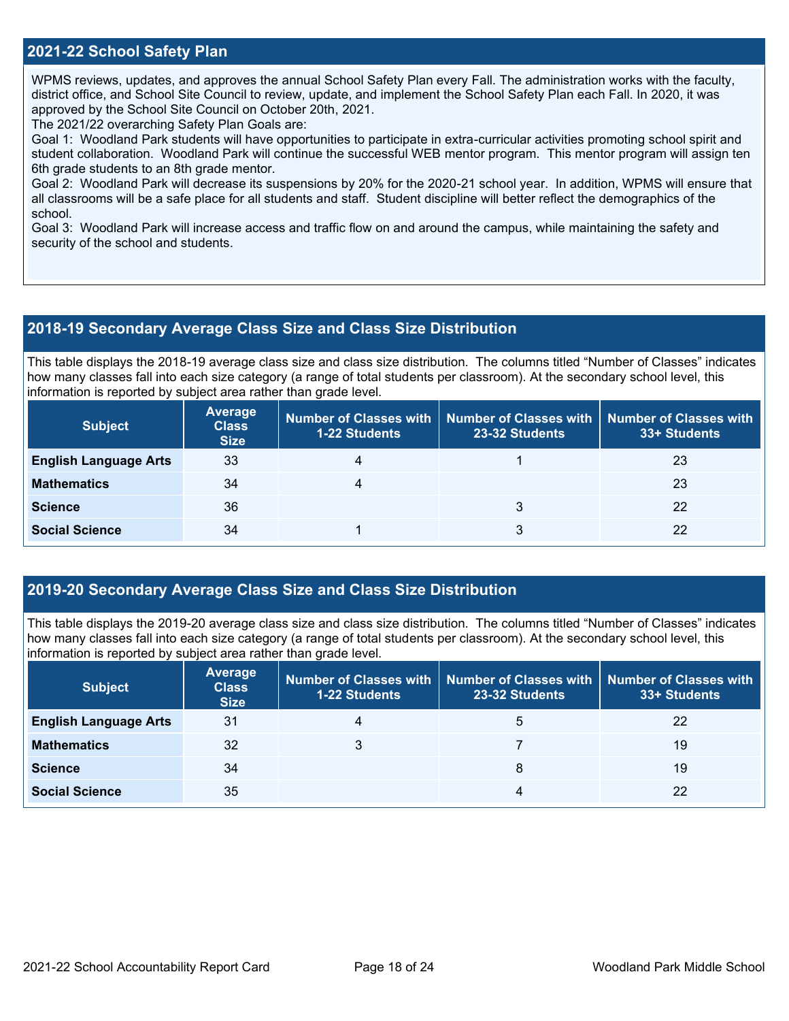## **2021-22 School Safety Plan**

WPMS reviews, updates, and approves the annual School Safety Plan every Fall. The administration works with the faculty, district office, and School Site Council to review, update, and implement the School Safety Plan each Fall. In 2020, it was approved by the School Site Council on October 20th, 2021.

The 2021/22 overarching Safety Plan Goals are:

Goal 1: Woodland Park students will have opportunities to participate in extra-curricular activities promoting school spirit and student collaboration. Woodland Park will continue the successful WEB mentor program. This mentor program will assign ten 6th grade students to an 8th grade mentor.

Goal 2: Woodland Park will decrease its suspensions by 20% for the 2020-21 school year. In addition, WPMS will ensure that all classrooms will be a safe place for all students and staff. Student discipline will better reflect the demographics of the school.

Goal 3: Woodland Park will increase access and traffic flow on and around the campus, while maintaining the safety and security of the school and students.

### **2018-19 Secondary Average Class Size and Class Size Distribution**

This table displays the 2018-19 average class size and class size distribution. The columns titled "Number of Classes" indicates how many classes fall into each size category (a range of total students per classroom). At the secondary school level, this information is reported by subject area rather than grade level.

| <b>Subject</b>               | <b>Average</b><br><b>Class</b><br><b>Size</b> | <b>1-22 Students</b> | Number of Classes with   Number of Classes with<br>23-32 Students | Number of Classes with<br>33+ Students |
|------------------------------|-----------------------------------------------|----------------------|-------------------------------------------------------------------|----------------------------------------|
| <b>English Language Arts</b> | 33                                            |                      |                                                                   | 23                                     |
| <b>Mathematics</b>           | 34                                            |                      |                                                                   | 23                                     |
| <b>Science</b>               | 36                                            |                      | 3                                                                 | 22                                     |
| <b>Social Science</b>        | 34                                            |                      | 3                                                                 | 22                                     |

## **2019-20 Secondary Average Class Size and Class Size Distribution**

This table displays the 2019-20 average class size and class size distribution. The columns titled "Number of Classes" indicates how many classes fall into each size category (a range of total students per classroom). At the secondary school level, this information is reported by subject area rather than grade level.

| <b>Subject</b>               | <b>Average</b><br><b>Class</b><br><b>Size</b> | <b>1-22 Students</b> | Number of Classes with   Number of Classes with   Number of Classes with<br>23-32 Students | 33+ Students |
|------------------------------|-----------------------------------------------|----------------------|--------------------------------------------------------------------------------------------|--------------|
| <b>English Language Arts</b> | 31                                            | 4                    | 5                                                                                          | 22           |
| <b>Mathematics</b>           | 32                                            | 3                    |                                                                                            | 19           |
| <b>Science</b>               | 34                                            |                      | 8                                                                                          | 19           |
| <b>Social Science</b>        | 35                                            |                      | 4                                                                                          | 22           |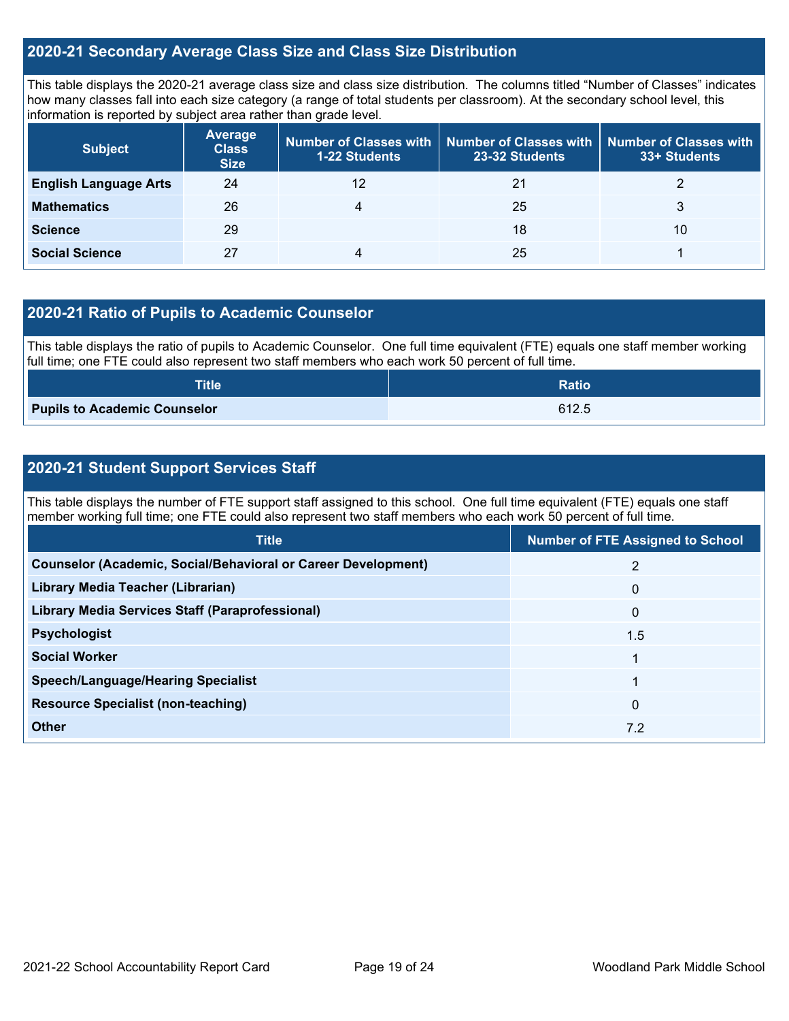## **2020-21 Secondary Average Class Size and Class Size Distribution**

This table displays the 2020-21 average class size and class size distribution. The columns titled "Number of Classes" indicates how many classes fall into each size category (a range of total students per classroom). At the secondary school level, this information is reported by subject area rather than grade level.

| <b>Subject</b>               | <b>Average</b><br><b>Class</b><br><b>Size</b> | 1-22 Students | Number of Classes with   Number of Classes with  <br>23-32 Students | <b>Number of Classes with</b><br>33+ Students |
|------------------------------|-----------------------------------------------|---------------|---------------------------------------------------------------------|-----------------------------------------------|
| <b>English Language Arts</b> | 24                                            | 12            | 21                                                                  |                                               |
| <b>Mathematics</b>           | 26                                            | 4             | 25                                                                  | 3                                             |
| <b>Science</b>               | 29                                            |               | 18                                                                  | 10                                            |
| <b>Social Science</b>        | 27                                            | 4             | 25                                                                  |                                               |

## **2020-21 Ratio of Pupils to Academic Counselor**

This table displays the ratio of pupils to Academic Counselor. One full time equivalent (FTE) equals one staff member working full time; one FTE could also represent two staff members who each work 50 percent of full time.

| <b>Title</b>                        | <b>Ratio</b> |
|-------------------------------------|--------------|
| <b>Pupils to Academic Counselor</b> | 612.5        |

## **2020-21 Student Support Services Staff**

This table displays the number of FTE support staff assigned to this school. One full time equivalent (FTE) equals one staff member working full time; one FTE could also represent two staff members who each work 50 percent of full time.

| <b>Title</b>                                                         | <b>Number of FTE Assigned to School</b> |
|----------------------------------------------------------------------|-----------------------------------------|
| <b>Counselor (Academic, Social/Behavioral or Career Development)</b> | 2                                       |
| Library Media Teacher (Librarian)                                    | $\mathbf{0}$                            |
| Library Media Services Staff (Paraprofessional)                      | $\mathbf{0}$                            |
| <b>Psychologist</b>                                                  | 1.5                                     |
| <b>Social Worker</b>                                                 |                                         |
| <b>Speech/Language/Hearing Specialist</b>                            |                                         |
| <b>Resource Specialist (non-teaching)</b>                            | $\mathbf{0}$                            |
| <b>Other</b>                                                         | 7.2                                     |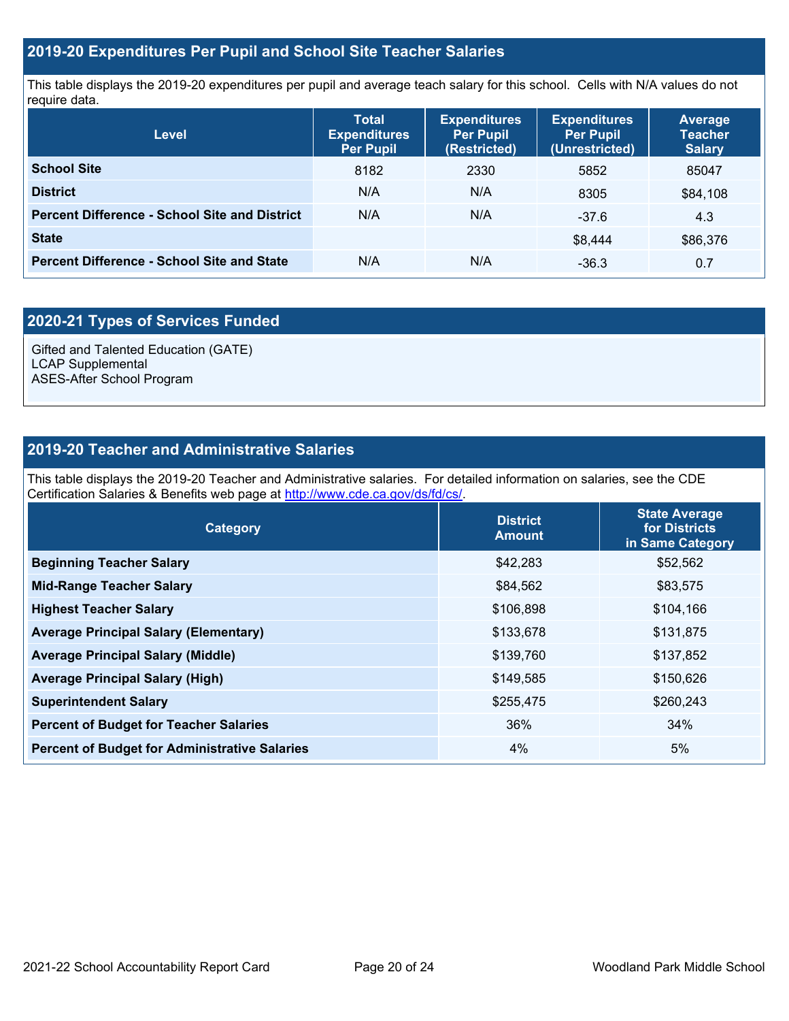## **2019-20 Expenditures Per Pupil and School Site Teacher Salaries**

This table displays the 2019-20 expenditures per pupil and average teach salary for this school. Cells with N/A values do not require data.

| <b>Level</b>                                         | <b>Total</b><br><b>Expenditures</b><br><b>Per Pupil</b> | <b>Expenditures</b><br><b>Per Pupil</b><br>(Restricted) | <b>Expenditures</b><br><b>Per Pupil</b><br>(Unrestricted) | <b>Average</b><br><b>Teacher</b><br><b>Salary</b> |
|------------------------------------------------------|---------------------------------------------------------|---------------------------------------------------------|-----------------------------------------------------------|---------------------------------------------------|
| <b>School Site</b>                                   | 8182                                                    | 2330                                                    | 5852                                                      | 85047                                             |
| <b>District</b>                                      | N/A                                                     | N/A                                                     | 8305                                                      | \$84,108                                          |
| <b>Percent Difference - School Site and District</b> | N/A                                                     | N/A                                                     | $-37.6$                                                   | 4.3                                               |
| <b>State</b>                                         |                                                         |                                                         | \$8.444                                                   | \$86,376                                          |
| <b>Percent Difference - School Site and State</b>    | N/A                                                     | N/A                                                     | $-36.3$                                                   | 0.7                                               |

## **2020-21 Types of Services Funded**

Gifted and Talented Education (GATE) LCAP Supplemental ASES-After School Program

## **2019-20 Teacher and Administrative Salaries**

This table displays the 2019-20 Teacher and Administrative salaries. For detailed information on salaries, see the CDE Certification Salaries & Benefits web page at [http://www.cde.ca.gov/ds/fd/cs/.](http://www.cde.ca.gov/ds/fd/cs/)

| Category                                             | <b>District</b><br><b>Amount</b> | <b>State Average</b><br>for Districts<br>in Same Category |
|------------------------------------------------------|----------------------------------|-----------------------------------------------------------|
| <b>Beginning Teacher Salary</b>                      | \$42,283                         | \$52,562                                                  |
| <b>Mid-Range Teacher Salary</b>                      | \$84,562                         | \$83,575                                                  |
| <b>Highest Teacher Salary</b>                        | \$106,898                        | \$104,166                                                 |
| <b>Average Principal Salary (Elementary)</b>         | \$133,678                        | \$131,875                                                 |
| <b>Average Principal Salary (Middle)</b>             | \$139,760                        | \$137,852                                                 |
| <b>Average Principal Salary (High)</b>               | \$149,585                        | \$150,626                                                 |
| <b>Superintendent Salary</b>                         | \$255,475                        | \$260,243                                                 |
| <b>Percent of Budget for Teacher Salaries</b>        | 36%                              | 34%                                                       |
| <b>Percent of Budget for Administrative Salaries</b> | $4\%$                            | 5%                                                        |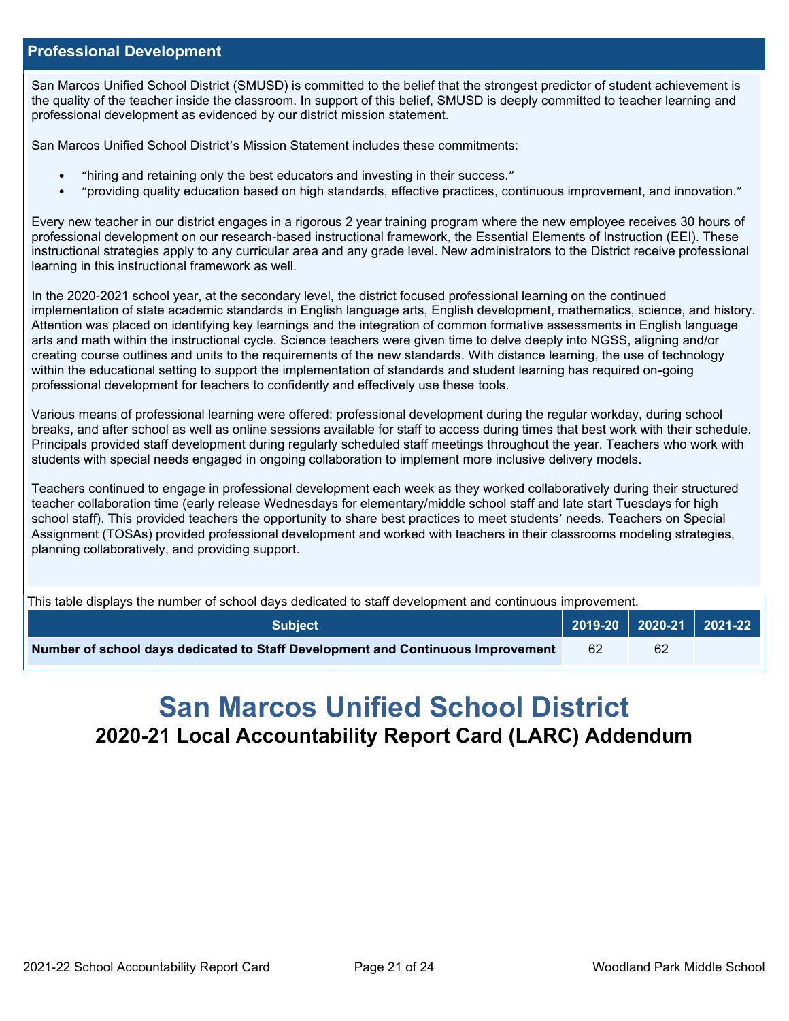### **Professional Development**

San Marcos Unified School District (SMUSD) is committed to the belief that the strongest predictor of student achievement is the quality of the teacher inside the classroom. In support of this belief, SMUSD is deeply committed to teacher learning and professional development as evidenced by our district mission statement.

San Marcos Unified School District's Mission Statement includes these commitments:

- "hiring and retaining only the best educators and investing in their success."
- "providing quality education based on high standards, effective practices, continuous improvement, and innovation."

Every new teacher in our district engages in a rigorous 2 year training program where the new employee receives 30 hours of professional development on our research-based instructional framework, the Essential Elements of Instruction (EEI). These instructional strategies apply to any curricular area and any grade level. New administrators to the District receive professional learning in this instructional framework as well.

In the 2020-2021 school year, at the secondary level, the district focused professional learning on the continued implementation of state academic standards in English language arts, English development, mathematics, science, and history. Attention was placed on identifying key learnings and the integration of common formative assessments in English language arts and math within the instructional cycle. Science teachers were given time to delve deeply into NGSS, aligning and/or creating course outlines and units to the requirements of the new standards. With distance learning, the use of technology within the educational setting to support the implementation of standards and student learning has required on-going professional development for teachers to confidently and effectively use these tools.

Various means of professional learning were offered: professional development during the regular workday, during school breaks, and after school as well as online sessions available for staff to access during times that best work with their schedule. Principals provided staff development during regularly scheduled staff meetings throughout the year. Teachers who work with students with special needs engaged in ongoing collaboration to implement more inclusive delivery models.

Teachers continued to engage in professional development each week as they worked collaboratively during their structured teacher collaboration time (early release Wednesdays for elementary/middle school staff and late start Tuesdays for high school staff). This provided teachers the opportunity to share best practices to meet students' needs. Teachers on Special Assignment (TOSAs) provided professional development and worked with teachers in their classrooms modeling strategies, planning collaboratively, and providing support.

This table displays the number of school days dedicated to staff development and continuous improvement.

| <b>Subject</b>                                                                  |     |    | $\vert$ 2019-20 $\vert$ 2020-21 $\vert$ 2021-22 $\vert$ |
|---------------------------------------------------------------------------------|-----|----|---------------------------------------------------------|
| Number of school days dedicated to Staff Development and Continuous Improvement | -62 | 62 |                                                         |

# **San Marcos Unified School District 2020-21 Local Accountability Report Card (LARC) Addendum**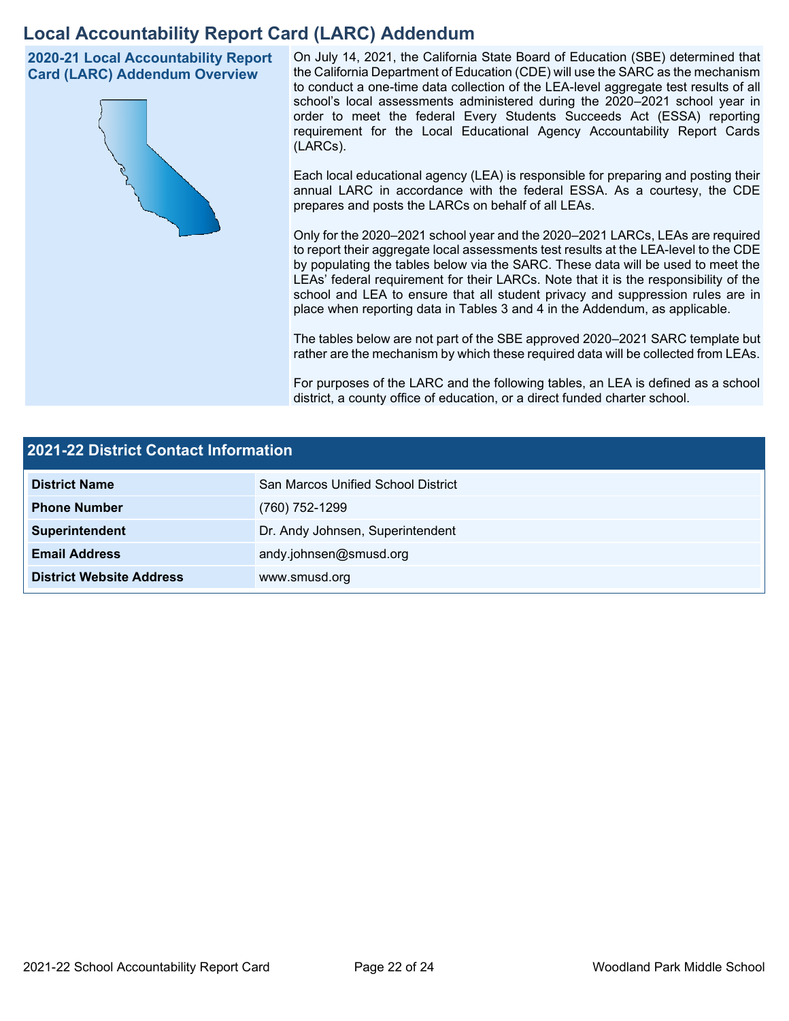## **Local Accountability Report Card (LARC) Addendum**

**2020-21 Local Accountability Report Card (LARC) Addendum Overview**



On July 14, 2021, the California State Board of Education (SBE) determined that the California Department of Education (CDE) will use the SARC as the mechanism to conduct a one-time data collection of the LEA-level aggregate test results of all school's local assessments administered during the 2020–2021 school year in order to meet the federal Every Students Succeeds Act (ESSA) reporting requirement for the Local Educational Agency Accountability Report Cards (LARCs).

Each local educational agency (LEA) is responsible for preparing and posting their annual LARC in accordance with the federal ESSA. As a courtesy, the CDE prepares and posts the LARCs on behalf of all LEAs.

Only for the 2020–2021 school year and the 2020–2021 LARCs, LEAs are required to report their aggregate local assessments test results at the LEA-level to the CDE by populating the tables below via the SARC. These data will be used to meet the LEAs' federal requirement for their LARCs. Note that it is the responsibility of the school and LEA to ensure that all student privacy and suppression rules are in place when reporting data in Tables 3 and 4 in the Addendum, as applicable.

The tables below are not part of the SBE approved 2020–2021 SARC template but rather are the mechanism by which these required data will be collected from LEAs.

For purposes of the LARC and the following tables, an LEA is defined as a school district, a county office of education, or a direct funded charter school.

| 2021-22 District Contact Information |                                           |  |  |  |
|--------------------------------------|-------------------------------------------|--|--|--|
| <b>District Name</b>                 | <b>San Marcos Unified School District</b> |  |  |  |
| <b>Phone Number</b>                  | (760) 752-1299                            |  |  |  |
| Superintendent                       | Dr. Andy Johnsen, Superintendent          |  |  |  |
| <b>Email Address</b>                 | andy.johnsen@smusd.org                    |  |  |  |
| <b>District Website Address</b>      | www.smusd.org                             |  |  |  |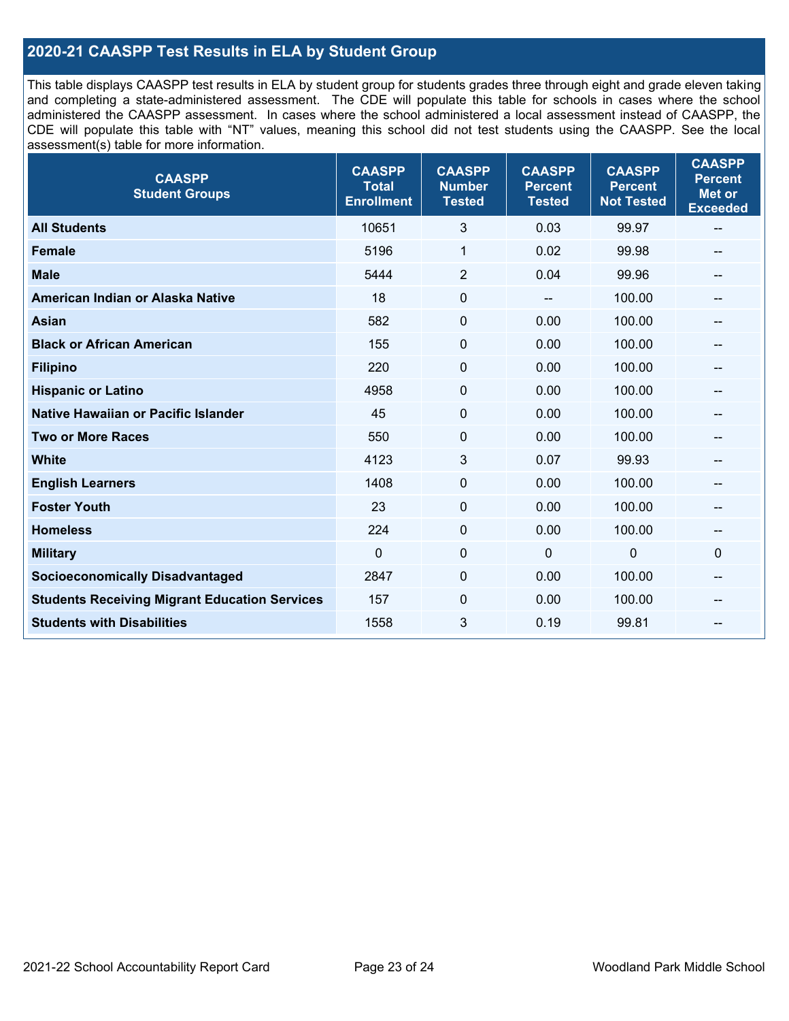## **2020-21 CAASPP Test Results in ELA by Student Group**

This table displays CAASPP test results in ELA by student group for students grades three through eight and grade eleven taking and completing a state-administered assessment. The CDE will populate this table for schools in cases where the school administered the CAASPP assessment. In cases where the school administered a local assessment instead of CAASPP, the CDE will populate this table with "NT" values, meaning this school did not test students using the CAASPP. See the local assessment(s) table for more information.

| <b>CAASPP</b><br><b>Student Groups</b>               | <b>CAASPP</b><br><b>Total</b><br><b>Enrollment</b> | <b>CAASPP</b><br><b>Number</b><br><b>Tested</b> | <b>CAASPP</b><br><b>Percent</b><br><b>Tested</b> | <b>CAASPP</b><br><b>Percent</b><br><b>Not Tested</b> | <b>CAASPP</b><br><b>Percent</b><br><b>Met or</b><br><b>Exceeded</b> |
|------------------------------------------------------|----------------------------------------------------|-------------------------------------------------|--------------------------------------------------|------------------------------------------------------|---------------------------------------------------------------------|
| <b>All Students</b>                                  | 10651                                              | 3                                               | 0.03                                             | 99.97                                                | $\sim$                                                              |
| <b>Female</b>                                        | 5196                                               | 1                                               | 0.02                                             | 99.98                                                |                                                                     |
| <b>Male</b>                                          | 5444                                               | $\overline{2}$                                  | 0.04                                             | 99.96                                                | --                                                                  |
| American Indian or Alaska Native                     | 18                                                 | $\pmb{0}$                                       | --                                               | 100.00                                               | --                                                                  |
| <b>Asian</b>                                         | 582                                                | $\pmb{0}$                                       | 0.00                                             | 100.00                                               |                                                                     |
| <b>Black or African American</b>                     | 155                                                | $\mathbf 0$                                     | 0.00                                             | 100.00                                               | $\hspace{0.05cm}$ – $\hspace{0.05cm}$                               |
| <b>Filipino</b>                                      | 220                                                | $\mathbf 0$                                     | 0.00                                             | 100.00                                               |                                                                     |
| <b>Hispanic or Latino</b>                            | 4958                                               | $\mathbf 0$                                     | 0.00                                             | 100.00                                               |                                                                     |
| Native Hawaiian or Pacific Islander                  | 45                                                 | $\mathbf 0$                                     | 0.00                                             | 100.00                                               | --                                                                  |
| <b>Two or More Races</b>                             | 550                                                | 0                                               | 0.00                                             | 100.00                                               | --                                                                  |
| <b>White</b>                                         | 4123                                               | 3                                               | 0.07                                             | 99.93                                                | --                                                                  |
| <b>English Learners</b>                              | 1408                                               | $\mathbf 0$                                     | 0.00                                             | 100.00                                               |                                                                     |
| <b>Foster Youth</b>                                  | 23                                                 | $\mathbf 0$                                     | 0.00                                             | 100.00                                               |                                                                     |
| <b>Homeless</b>                                      | 224                                                | $\mathbf 0$                                     | 0.00                                             | 100.00                                               | $\hspace{0.05cm}$                                                   |
| <b>Military</b>                                      | $\mathbf 0$                                        | $\pmb{0}$                                       | $\mathbf 0$                                      | $\mathbf 0$                                          | 0                                                                   |
| <b>Socioeconomically Disadvantaged</b>               | 2847                                               | 0                                               | 0.00                                             | 100.00                                               | --                                                                  |
| <b>Students Receiving Migrant Education Services</b> | 157                                                | $\mathbf{0}$                                    | 0.00                                             | 100.00                                               |                                                                     |
| <b>Students with Disabilities</b>                    | 1558                                               | 3                                               | 0.19                                             | 99.81                                                |                                                                     |